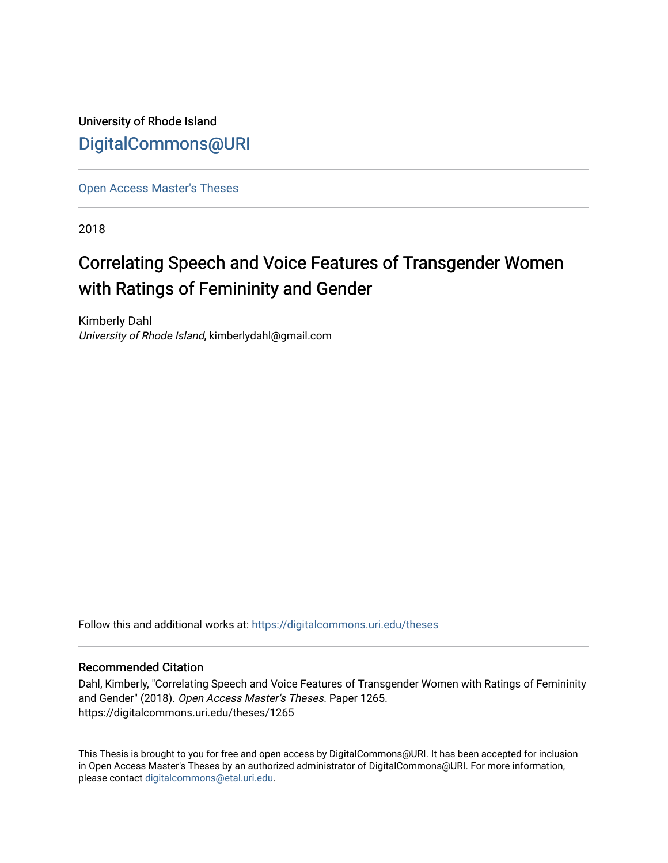University of Rhode Island [DigitalCommons@URI](https://digitalcommons.uri.edu/) 

[Open Access Master's Theses](https://digitalcommons.uri.edu/theses) 

2018

# Correlating Speech and Voice Features of Transgender Women with Ratings of Femininity and Gender

Kimberly Dahl University of Rhode Island, kimberlydahl@gmail.com

Follow this and additional works at: [https://digitalcommons.uri.edu/theses](https://digitalcommons.uri.edu/theses?utm_source=digitalcommons.uri.edu%2Ftheses%2F1265&utm_medium=PDF&utm_campaign=PDFCoverPages)

#### Recommended Citation

Dahl, Kimberly, "Correlating Speech and Voice Features of Transgender Women with Ratings of Femininity and Gender" (2018). Open Access Master's Theses. Paper 1265. https://digitalcommons.uri.edu/theses/1265

This Thesis is brought to you for free and open access by DigitalCommons@URI. It has been accepted for inclusion in Open Access Master's Theses by an authorized administrator of DigitalCommons@URI. For more information, please contact [digitalcommons@etal.uri.edu.](mailto:digitalcommons@etal.uri.edu)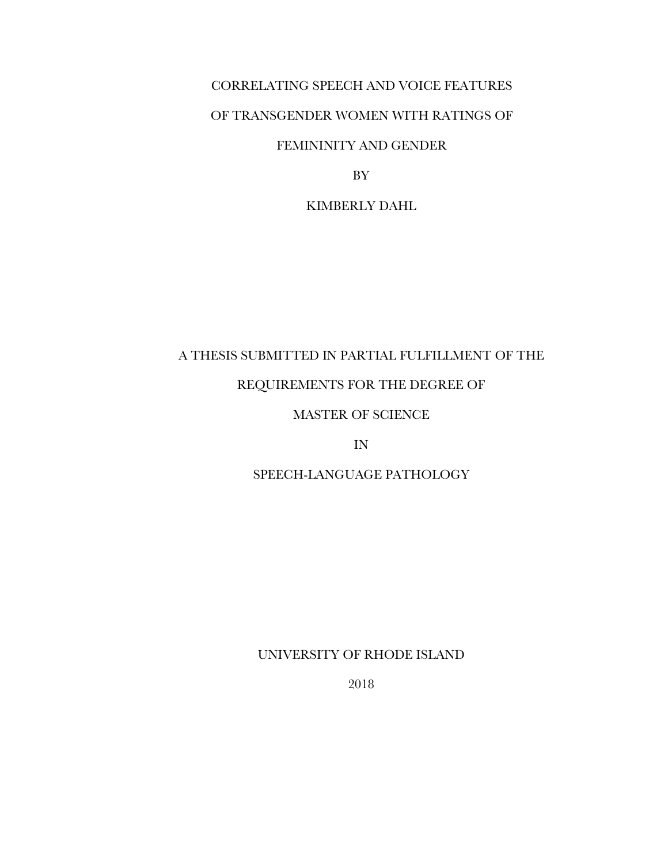# CORRELATING SPEECH AND VOICE FEATURES OF TRANSGENDER WOMEN WITH RATINGS OF

# FEMININITY AND GENDER

BY

### KIMBERLY DAHL

# A THESIS SUBMITTED IN PARTIAL FULFILLMENT OF THE

# REQUIREMENTS FOR THE DEGREE OF

# MASTER OF SCIENCE

IN

# SPEECH-LANGUAGE PATHOLOGY

## UNIVERSITY OF RHODE ISLAND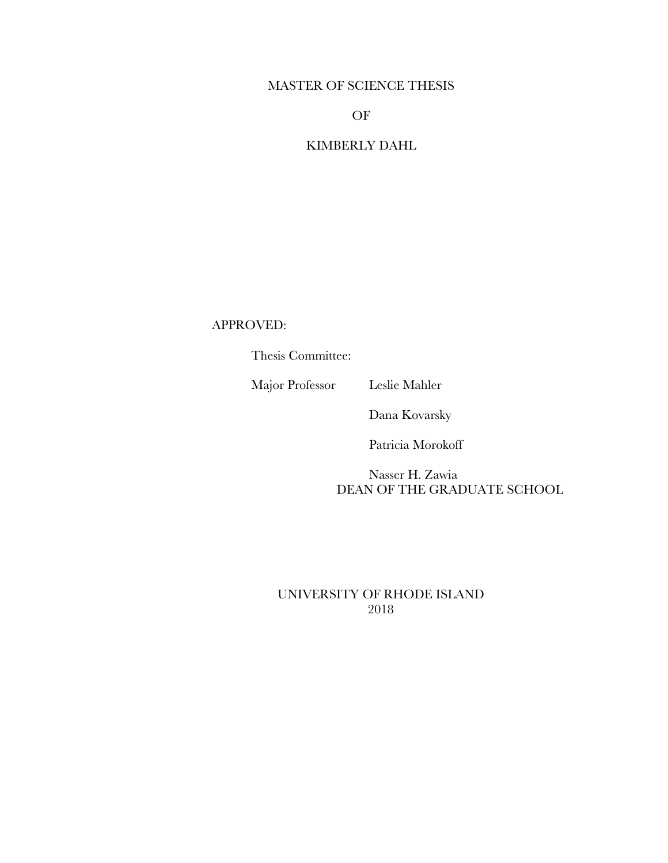### MASTER OF SCIENCE THESIS

OF

# KIMBERLY DAHL

APPROVED:

Thesis Committee:

Major Professor Leslie Mahler

Dana Kovarsky

Patricia Morokoff

 Nasser H. Zawia DEAN OF THE GRADUATE SCHOOL

UNIVERSITY OF RHODE ISLAND 2018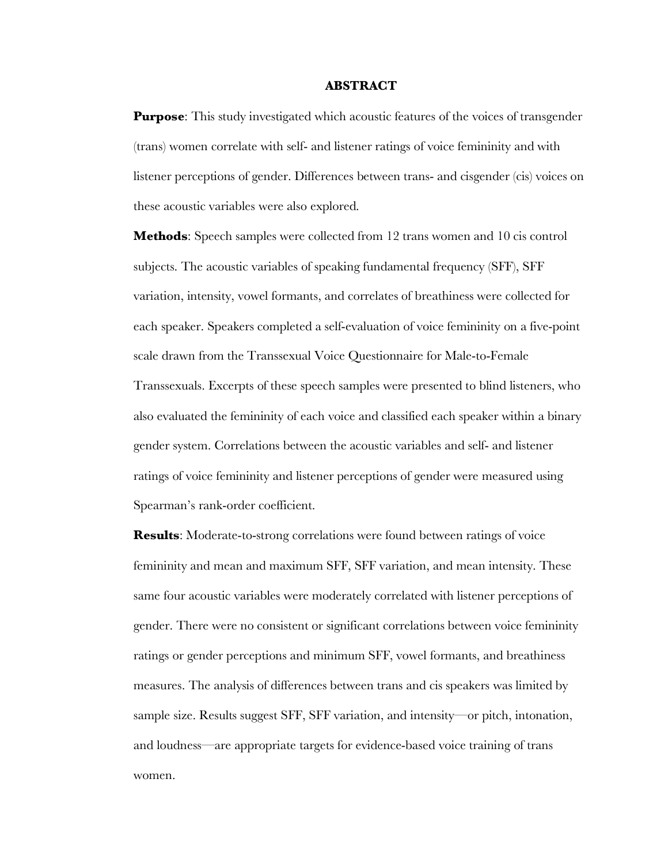#### **ABSTRACT**

**Purpose:** This study investigated which acoustic features of the voices of transgender (trans) women correlate with self- and listener ratings of voice femininity and with listener perceptions of gender. Differences between trans- and cisgender (cis) voices on these acoustic variables were also explored.

**Methods**: Speech samples were collected from 12 trans women and 10 cis control subjects. The acoustic variables of speaking fundamental frequency (SFF), SFF variation, intensity, vowel formants, and correlates of breathiness were collected for each speaker. Speakers completed a self-evaluation of voice femininity on a five-point scale drawn from the Transsexual Voice Questionnaire for Male-to-Female Transsexuals. Excerpts of these speech samples were presented to blind listeners, who also evaluated the femininity of each voice and classified each speaker within a binary gender system. Correlations between the acoustic variables and self- and listener ratings of voice femininity and listener perceptions of gender were measured using Spearman's rank-order coefficient.

**Results**: Moderate-to-strong correlations were found between ratings of voice femininity and mean and maximum SFF, SFF variation, and mean intensity. These same four acoustic variables were moderately correlated with listener perceptions of gender. There were no consistent or significant correlations between voice femininity ratings or gender perceptions and minimum SFF, vowel formants, and breathiness measures. The analysis of differences between trans and cis speakers was limited by sample size. Results suggest SFF, SFF variation, and intensity—or pitch, intonation, and loudness—are appropriate targets for evidence-based voice training of trans women.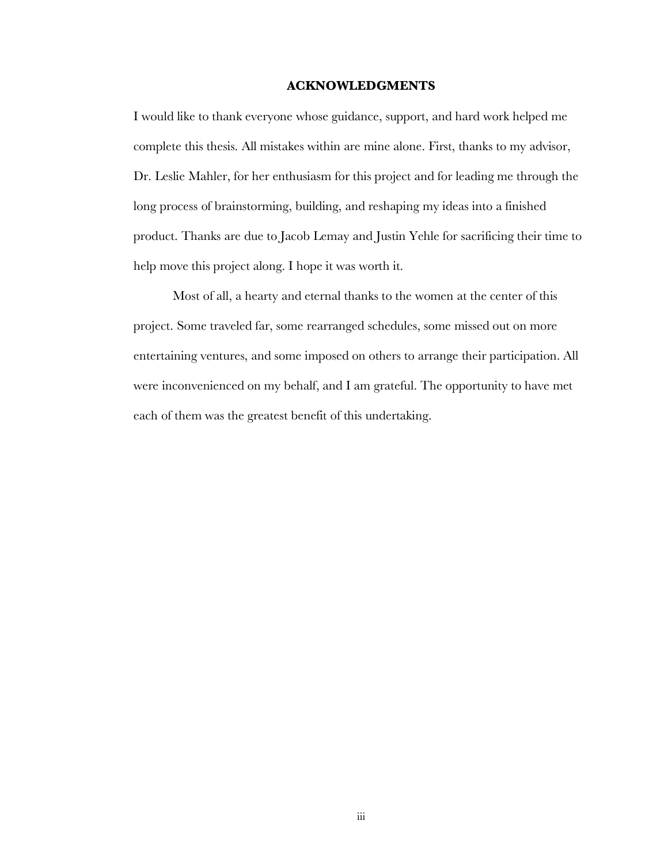#### **ACKNOWLEDGMENTS**

I would like to thank everyone whose guidance, support, and hard work helped me complete this thesis. All mistakes within are mine alone. First, thanks to my advisor, Dr. Leslie Mahler, for her enthusiasm for this project and for leading me through the long process of brainstorming, building, and reshaping my ideas into a finished product. Thanks are due to Jacob Lemay and Justin Yehle for sacrificing their time to help move this project along. I hope it was worth it.

Most of all, a hearty and eternal thanks to the women at the center of this project. Some traveled far, some rearranged schedules, some missed out on more entertaining ventures, and some imposed on others to arrange their participation. All were inconvenienced on my behalf, and I am grateful. The opportunity to have met each of them was the greatest benefit of this undertaking.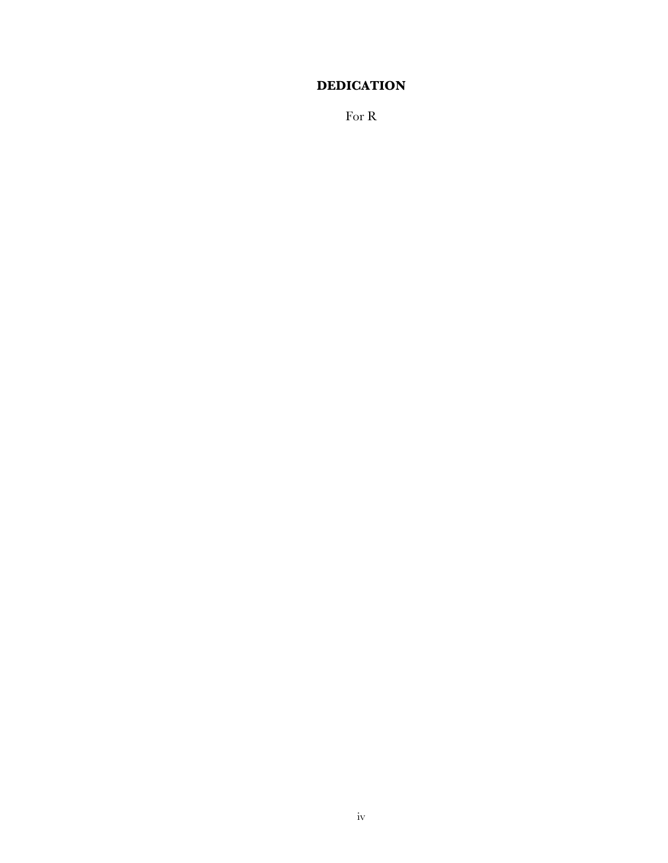# **DEDICATION**

For R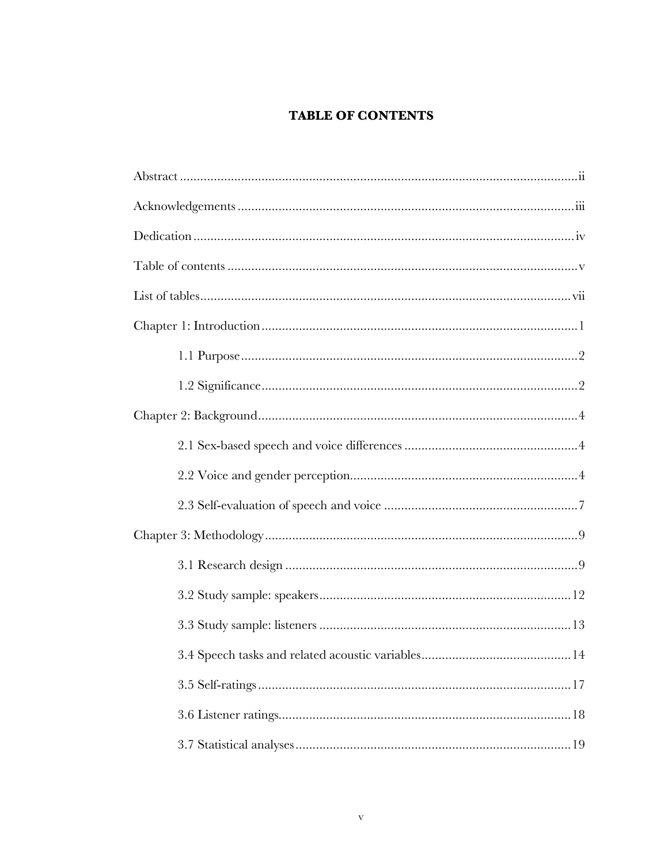# **TABLE OF CONTENTS**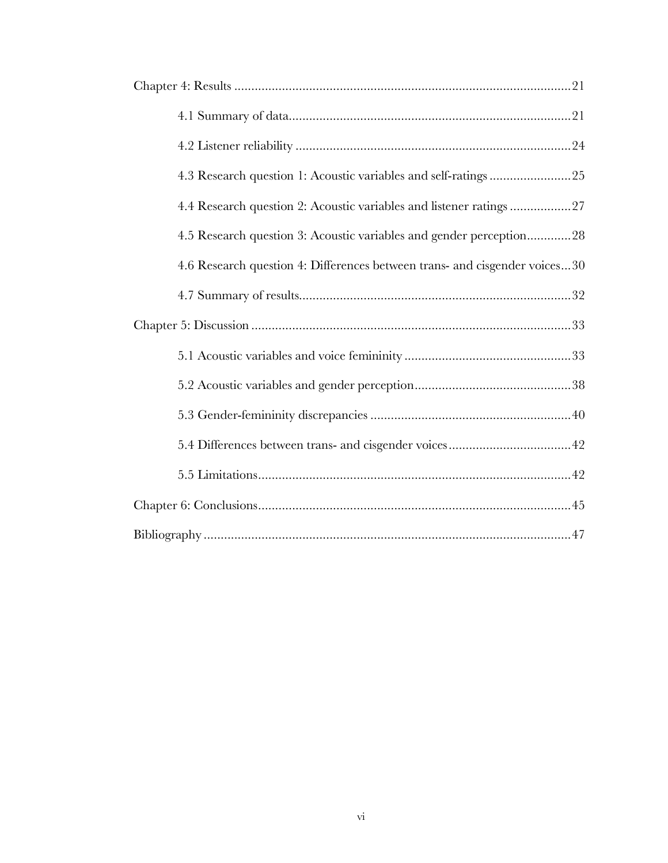| 4.4 Research question 2: Acoustic variables and listener ratings 27        |
|----------------------------------------------------------------------------|
| 4.5 Research question 3: Acoustic variables and gender perception28        |
| 4.6 Research question 4: Differences between trans- and cisgender voices30 |
|                                                                            |
|                                                                            |
|                                                                            |
|                                                                            |
|                                                                            |
|                                                                            |
|                                                                            |
|                                                                            |
|                                                                            |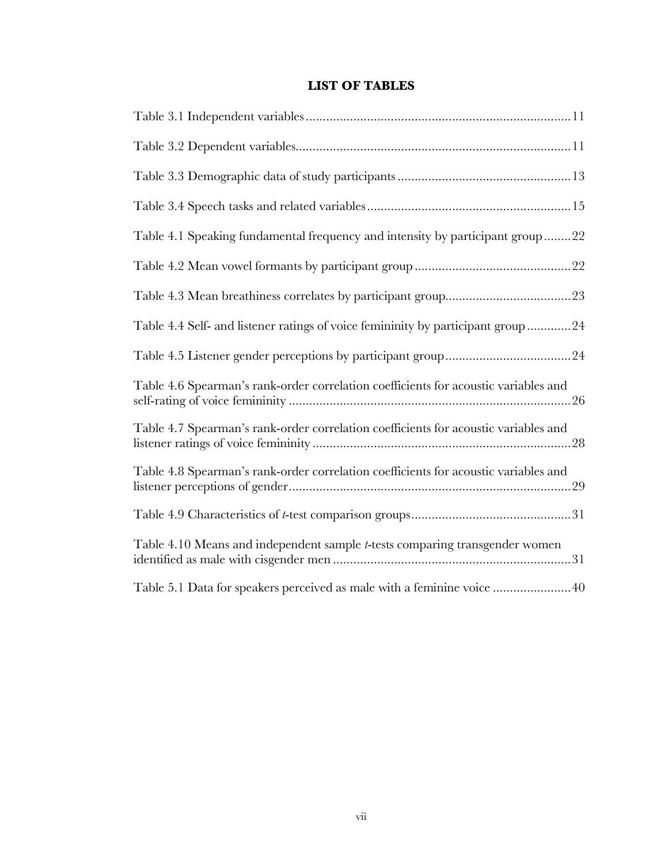# **LIST OF TABLES**

| Table 4.1 Speaking fundamental frequency and intensity by participant group22       |
|-------------------------------------------------------------------------------------|
|                                                                                     |
|                                                                                     |
| Table 4.4 Self- and listener ratings of voice femininity by participant group24     |
|                                                                                     |
| Table 4.6 Spearman's rank-order correlation coefficients for acoustic variables and |
| Table 4.7 Spearman's rank-order correlation coefficients for acoustic variables and |
| Table 4.8 Spearman's rank-order correlation coefficients for acoustic variables and |
|                                                                                     |
| Table 4.10 Means and independent sample <i>t</i> -tests comparing transgender women |
| Table 5.1 Data for speakers perceived as male with a feminine voice 40              |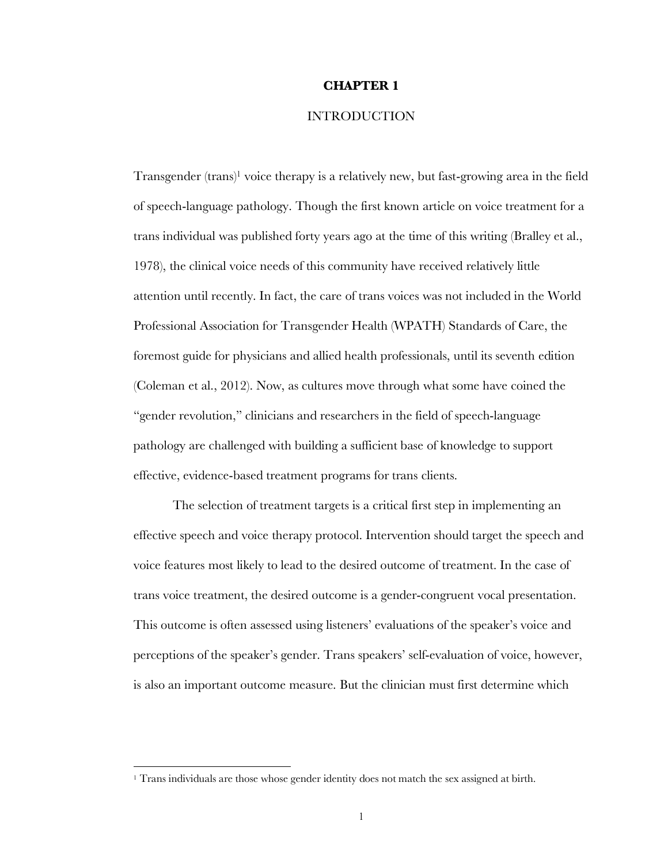#### **CHAPTER 1**

### **INTRODUCTION**

Transgender (trans)1 voice therapy is a relatively new, but fast-growing area in the field of speech-language pathology. Though the first known article on voice treatment for a trans individual was published forty years ago at the time of this writing (Bralley et al., 1978), the clinical voice needs of this community have received relatively little attention until recently. In fact, the care of trans voices was not included in the World Professional Association for Transgender Health (WPATH) Standards of Care, the foremost guide for physicians and allied health professionals, until its seventh edition (Coleman et al., 2012). Now, as cultures move through what some have coined the "gender revolution," clinicians and researchers in the field of speech-language pathology are challenged with building a sufficient base of knowledge to support effective, evidence-based treatment programs for trans clients.

The selection of treatment targets is a critical first step in implementing an effective speech and voice therapy protocol. Intervention should target the speech and voice features most likely to lead to the desired outcome of treatment. In the case of trans voice treatment, the desired outcome is a gender-congruent vocal presentation. This outcome is often assessed using listeners' evaluations of the speaker's voice and perceptions of the speaker's gender. Trans speakers' self-evaluation of voice, however, is also an important outcome measure. But the clinician must first determine which

 $\overline{a}$ 

<sup>&</sup>lt;sup>1</sup> Trans individuals are those whose gender identity does not match the sex assigned at birth.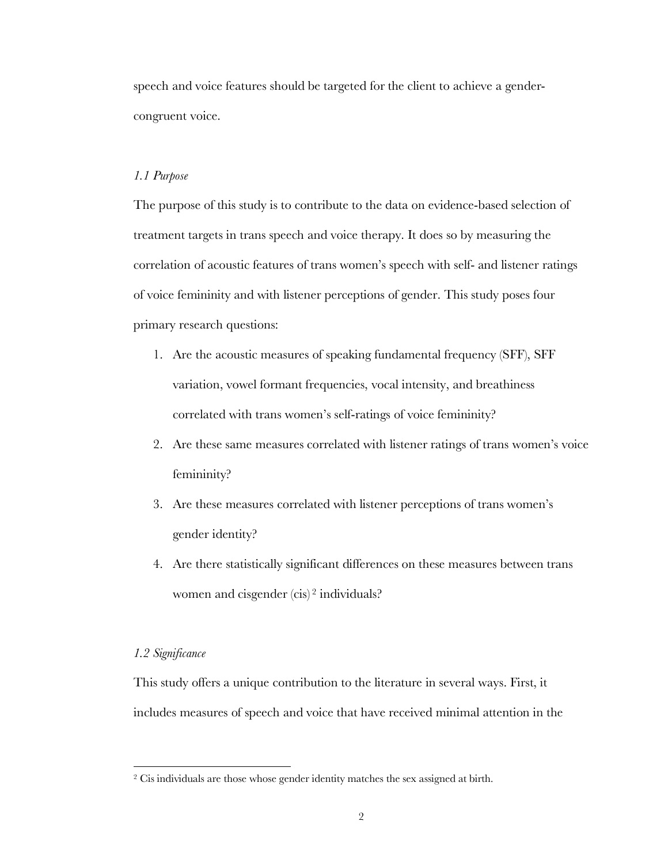speech and voice features should be targeted for the client to achieve a gendercongruent voice.

#### *1.1 Purpose*

The purpose of this study is to contribute to the data on evidence-based selection of treatment targets in trans speech and voice therapy. It does so by measuring the correlation of acoustic features of trans women's speech with self- and listener ratings of voice femininity and with listener perceptions of gender. This study poses four primary research questions:

- 1. Are the acoustic measures of speaking fundamental frequency (SFF), SFF variation, vowel formant frequencies, vocal intensity, and breathiness correlated with trans women's self-ratings of voice femininity?
- 2. Are these same measures correlated with listener ratings of trans women's voice femininity?
- 3. Are these measures correlated with listener perceptions of trans women's gender identity?
- 4. Are there statistically significant differences on these measures between trans women and cisgender (cis)<sup>2</sup> individuals?

#### *1.2 Significance*

 $\overline{a}$ 

This study offers a unique contribution to the literature in several ways. First, it includes measures of speech and voice that have received minimal attention in the

<sup>&</sup>lt;sup>2</sup> Cis individuals are those whose gender identity matches the sex assigned at birth.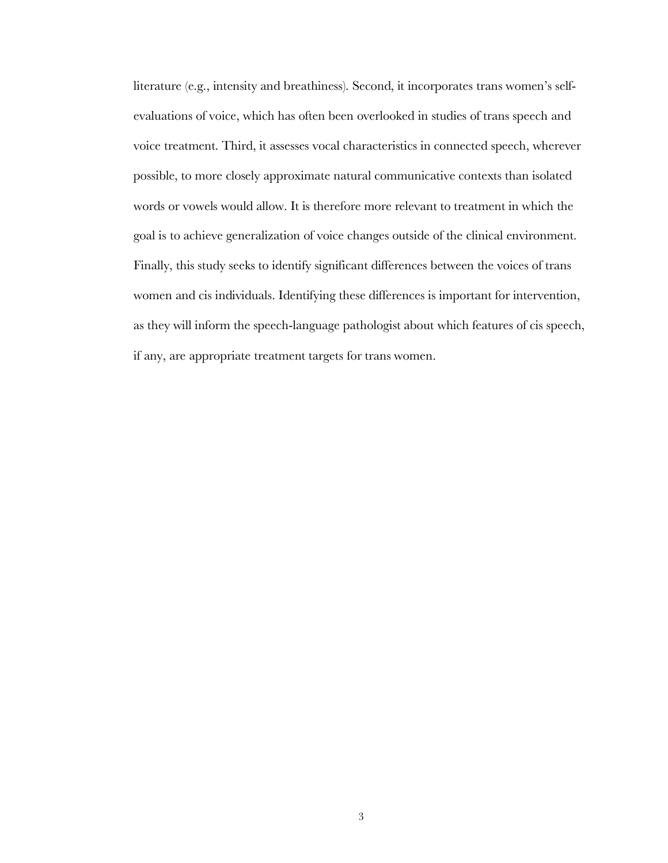literature (e.g., intensity and breathiness). Second, it incorporates trans women's selfevaluations of voice, which has often been overlooked in studies of trans speech and voice treatment. Third, it assesses vocal characteristics in connected speech, wherever possible, to more closely approximate natural communicative contexts than isolated words or vowels would allow. It is therefore more relevant to treatment in which the goal is to achieve generalization of voice changes outside of the clinical environment. Finally, this study seeks to identify significant differences between the voices of trans women and cis individuals. Identifying these differences is important for intervention, as they will inform the speech-language pathologist about which features of cis speech, if any, are appropriate treatment targets for trans women.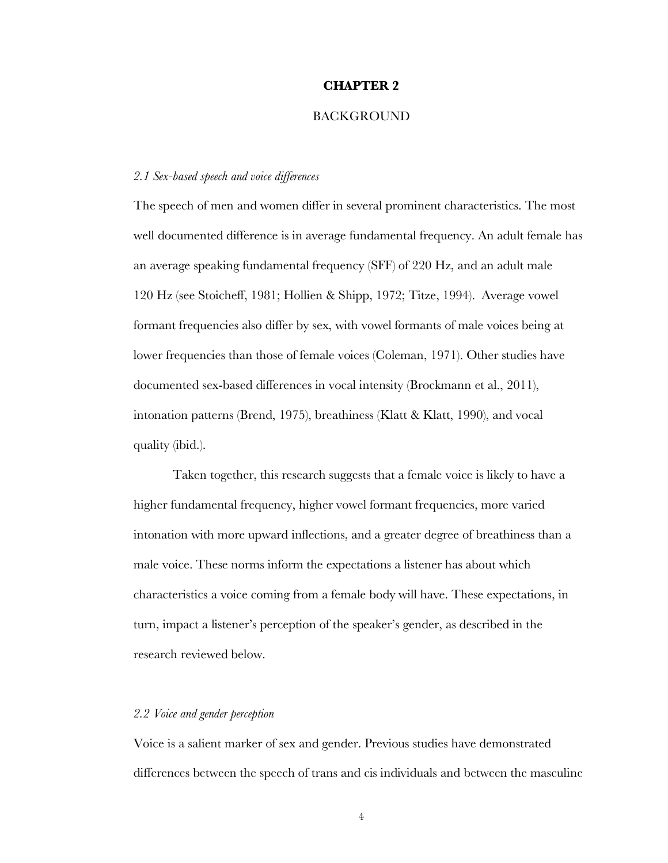#### **CHAPTER 2**

#### **BACKGROUND**

#### *2.1 Sex-based speech and voice differences*

The speech of men and women differ in several prominent characteristics. The most well documented difference is in average fundamental frequency. An adult female has an average speaking fundamental frequency (SFF) of 220 Hz, and an adult male 120 Hz (see Stoicheff, 1981; Hollien & Shipp, 1972; Titze, 1994). Average vowel formant frequencies also differ by sex, with vowel formants of male voices being at lower frequencies than those of female voices (Coleman, 1971). Other studies have documented sex-based differences in vocal intensity (Brockmann et al., 2011), intonation patterns (Brend, 1975), breathiness (Klatt & Klatt, 1990), and vocal quality (ibid.).

Taken together, this research suggests that a female voice is likely to have a higher fundamental frequency, higher vowel formant frequencies, more varied intonation with more upward inflections, and a greater degree of breathiness than a male voice. These norms inform the expectations a listener has about which characteristics a voice coming from a female body will have. These expectations, in turn, impact a listener's perception of the speaker's gender, as described in the research reviewed below.

#### *2.2 Voice and gender perception*

Voice is a salient marker of sex and gender. Previous studies have demonstrated differences between the speech of trans and cis individuals and between the masculine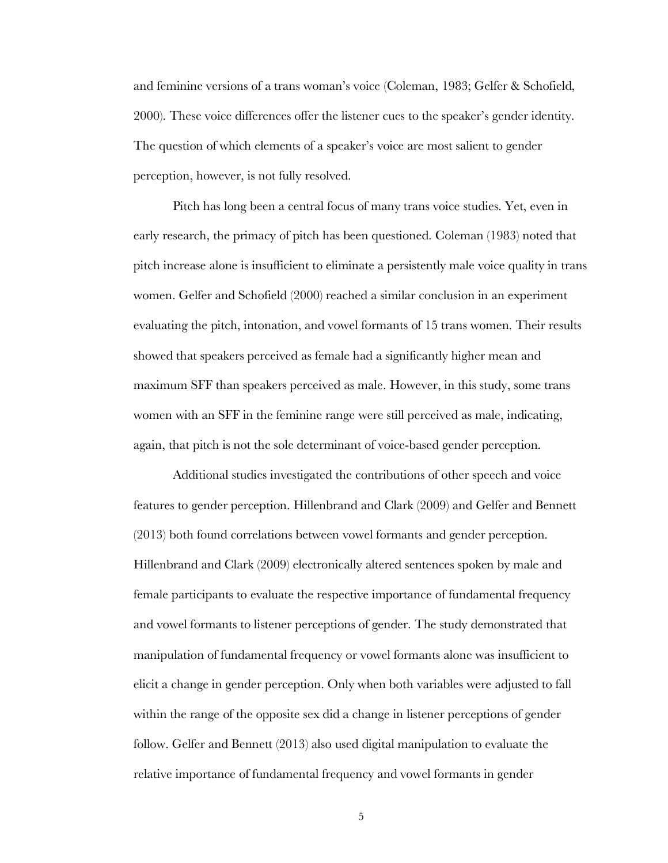and feminine versions of a trans woman's voice (Coleman, 1983; Gelfer & Schofield, 2000). These voice differences offer the listener cues to the speaker's gender identity. The question of which elements of a speaker's voice are most salient to gender perception, however, is not fully resolved.

Pitch has long been a central focus of many trans voice studies. Yet, even in early research, the primacy of pitch has been questioned. Coleman (1983) noted that pitch increase alone is insufficient to eliminate a persistently male voice quality in trans women. Gelfer and Schofield (2000) reached a similar conclusion in an experiment evaluating the pitch, intonation, and vowel formants of 15 trans women. Their results showed that speakers perceived as female had a significantly higher mean and maximum SFF than speakers perceived as male. However, in this study, some trans women with an SFF in the feminine range were still perceived as male, indicating, again, that pitch is not the sole determinant of voice-based gender perception.

Additional studies investigated the contributions of other speech and voice features to gender perception. Hillenbrand and Clark (2009) and Gelfer and Bennett (2013) both found correlations between vowel formants and gender perception. Hillenbrand and Clark (2009) electronically altered sentences spoken by male and female participants to evaluate the respective importance of fundamental frequency and vowel formants to listener perceptions of gender. The study demonstrated that manipulation of fundamental frequency or vowel formants alone was insufficient to elicit a change in gender perception. Only when both variables were adjusted to fall within the range of the opposite sex did a change in listener perceptions of gender follow. Gelfer and Bennett (2013) also used digital manipulation to evaluate the relative importance of fundamental frequency and vowel formants in gender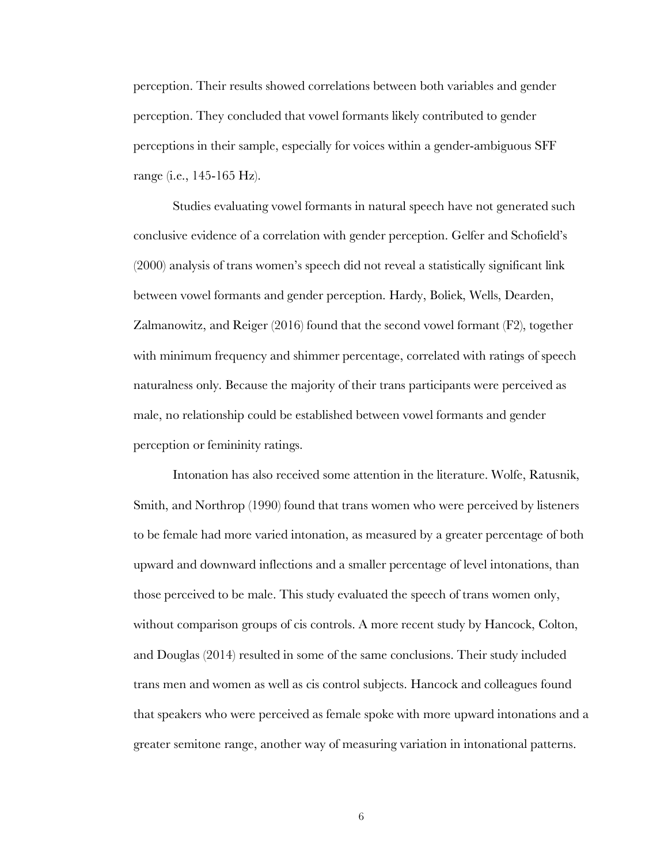perception. Their results showed correlations between both variables and gender perception. They concluded that vowel formants likely contributed to gender perceptions in their sample, especially for voices within a gender-ambiguous SFF range (i.e., 145-165 Hz).

Studies evaluating vowel formants in natural speech have not generated such conclusive evidence of a correlation with gender perception. Gelfer and Schofield's (2000) analysis of trans women's speech did not reveal a statistically significant link between vowel formants and gender perception. Hardy, Boliek, Wells, Dearden, Zalmanowitz, and Reiger (2016) found that the second vowel formant (F2), together with minimum frequency and shimmer percentage, correlated with ratings of speech naturalness only. Because the majority of their trans participants were perceived as male, no relationship could be established between vowel formants and gender perception or femininity ratings.

Intonation has also received some attention in the literature. Wolfe, Ratusnik, Smith, and Northrop (1990) found that trans women who were perceived by listeners to be female had more varied intonation, as measured by a greater percentage of both upward and downward inflections and a smaller percentage of level intonations, than those perceived to be male. This study evaluated the speech of trans women only, without comparison groups of cis controls. A more recent study by Hancock, Colton, and Douglas (2014) resulted in some of the same conclusions. Their study included trans men and women as well as cis control subjects. Hancock and colleagues found that speakers who were perceived as female spoke with more upward intonations and a greater semitone range, another way of measuring variation in intonational patterns.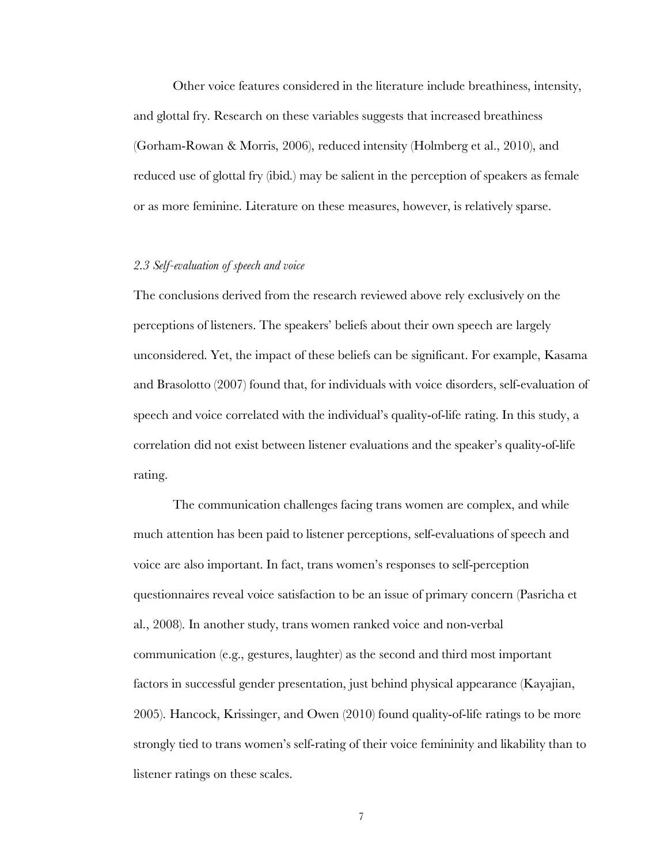Other voice features considered in the literature include breathiness, intensity, and glottal fry. Research on these variables suggests that increased breathiness (Gorham-Rowan & Morris, 2006), reduced intensity (Holmberg et al., 2010), and reduced use of glottal fry (ibid.) may be salient in the perception of speakers as female or as more feminine. Literature on these measures, however, is relatively sparse.

#### *2.3 Self-evaluation of speech and voice*

The conclusions derived from the research reviewed above rely exclusively on the perceptions of listeners. The speakers' beliefs about their own speech are largely unconsidered. Yet, the impact of these beliefs can be significant. For example, Kasama and Brasolotto (2007) found that, for individuals with voice disorders, self-evaluation of speech and voice correlated with the individual's quality-of-life rating. In this study, a correlation did not exist between listener evaluations and the speaker's quality-of-life rating.

The communication challenges facing trans women are complex, and while much attention has been paid to listener perceptions, self-evaluations of speech and voice are also important. In fact, trans women's responses to self-perception questionnaires reveal voice satisfaction to be an issue of primary concern (Pasricha et al., 2008). In another study, trans women ranked voice and non-verbal communication (e.g., gestures, laughter) as the second and third most important factors in successful gender presentation, just behind physical appearance (Kayajian, 2005). Hancock, Krissinger, and Owen (2010) found quality-of-life ratings to be more strongly tied to trans women's self-rating of their voice femininity and likability than to listener ratings on these scales.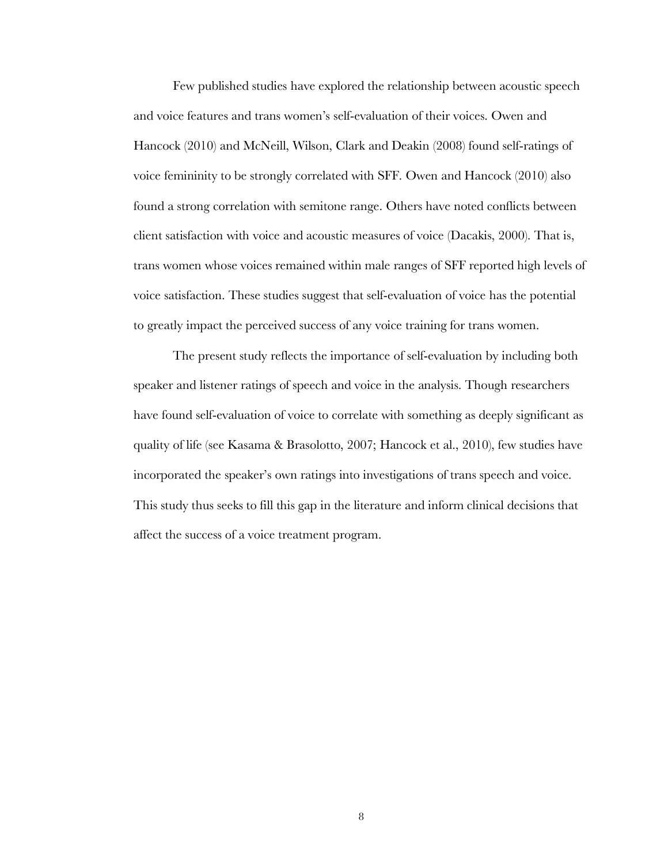Few published studies have explored the relationship between acoustic speech and voice features and trans women's self-evaluation of their voices. Owen and Hancock (2010) and McNeill, Wilson, Clark and Deakin (2008) found self-ratings of voice femininity to be strongly correlated with SFF. Owen and Hancock (2010) also found a strong correlation with semitone range. Others have noted conflicts between client satisfaction with voice and acoustic measures of voice (Dacakis, 2000). That is, trans women whose voices remained within male ranges of SFF reported high levels of voice satisfaction. These studies suggest that self-evaluation of voice has the potential to greatly impact the perceived success of any voice training for trans women.

The present study reflects the importance of self-evaluation by including both speaker and listener ratings of speech and voice in the analysis. Though researchers have found self-evaluation of voice to correlate with something as deeply significant as quality of life (see Kasama & Brasolotto, 2007; Hancock et al., 2010), few studies have incorporated the speaker's own ratings into investigations of trans speech and voice. This study thus seeks to fill this gap in the literature and inform clinical decisions that affect the success of a voice treatment program.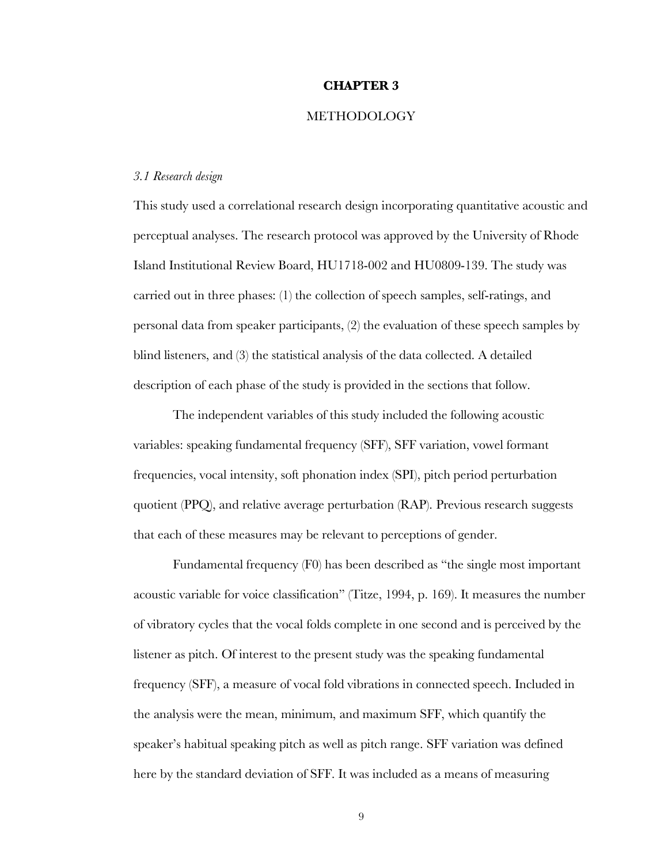#### **CHAPTER 3**

#### **METHODOLOGY**

#### *3.1 Research design*

This study used a correlational research design incorporating quantitative acoustic and perceptual analyses. The research protocol was approved by the University of Rhode Island Institutional Review Board, HU1718-002 and HU0809-139. The study was carried out in three phases: (1) the collection of speech samples, self-ratings, and personal data from speaker participants, (2) the evaluation of these speech samples by blind listeners, and (3) the statistical analysis of the data collected. A detailed description of each phase of the study is provided in the sections that follow.

The independent variables of this study included the following acoustic variables: speaking fundamental frequency (SFF), SFF variation, vowel formant frequencies, vocal intensity, soft phonation index (SPI), pitch period perturbation quotient (PPQ), and relative average perturbation (RAP). Previous research suggests that each of these measures may be relevant to perceptions of gender.

Fundamental frequency (F0) has been described as "the single most important acoustic variable for voice classification" (Titze, 1994, p. 169). It measures the number of vibratory cycles that the vocal folds complete in one second and is perceived by the listener as pitch. Of interest to the present study was the speaking fundamental frequency (SFF), a measure of vocal fold vibrations in connected speech. Included in the analysis were the mean, minimum, and maximum SFF, which quantify the speaker's habitual speaking pitch as well as pitch range. SFF variation was defined here by the standard deviation of SFF. It was included as a means of measuring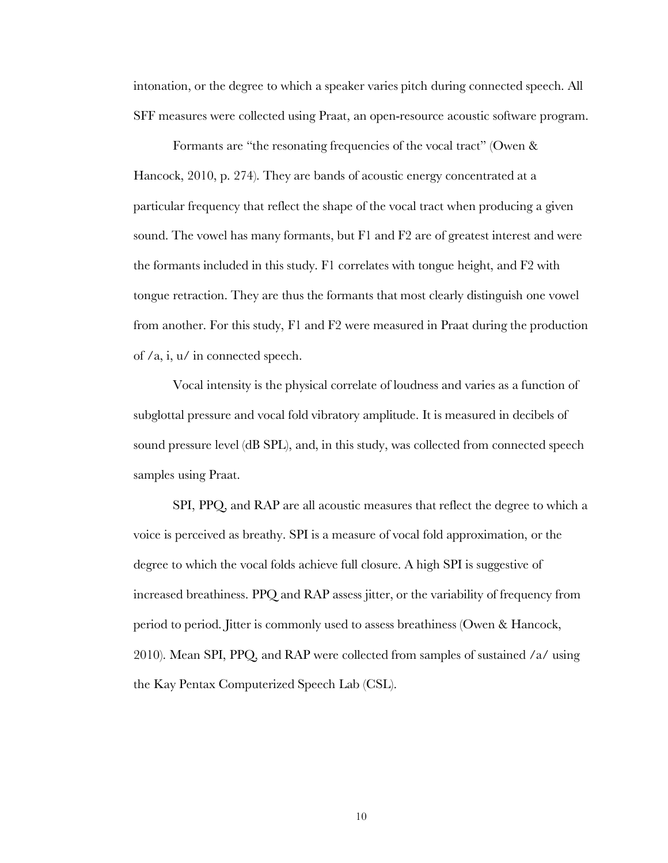intonation, or the degree to which a speaker varies pitch during connected speech. All SFF measures were collected using Praat, an open-resource acoustic software program.

Formants are "the resonating frequencies of the vocal tract" (Owen & Hancock, 2010, p. 274). They are bands of acoustic energy concentrated at a particular frequency that reflect the shape of the vocal tract when producing a given sound. The vowel has many formants, but F1 and F2 are of greatest interest and were the formants included in this study. F1 correlates with tongue height, and F2 with tongue retraction. They are thus the formants that most clearly distinguish one vowel from another. For this study, F1 and F2 were measured in Praat during the production of /a, i, u/ in connected speech.

Vocal intensity is the physical correlate of loudness and varies as a function of subglottal pressure and vocal fold vibratory amplitude. It is measured in decibels of sound pressure level (dB SPL), and, in this study, was collected from connected speech samples using Praat.

SPI, PPQ, and RAP are all acoustic measures that reflect the degree to which a voice is perceived as breathy. SPI is a measure of vocal fold approximation, or the degree to which the vocal folds achieve full closure. A high SPI is suggestive of increased breathiness. PPQ and RAP assess jitter, or the variability of frequency from period to period. Jitter is commonly used to assess breathiness (Owen & Hancock, 2010). Mean SPI, PPQ, and RAP were collected from samples of sustained /a/ using the Kay Pentax Computerized Speech Lab (CSL).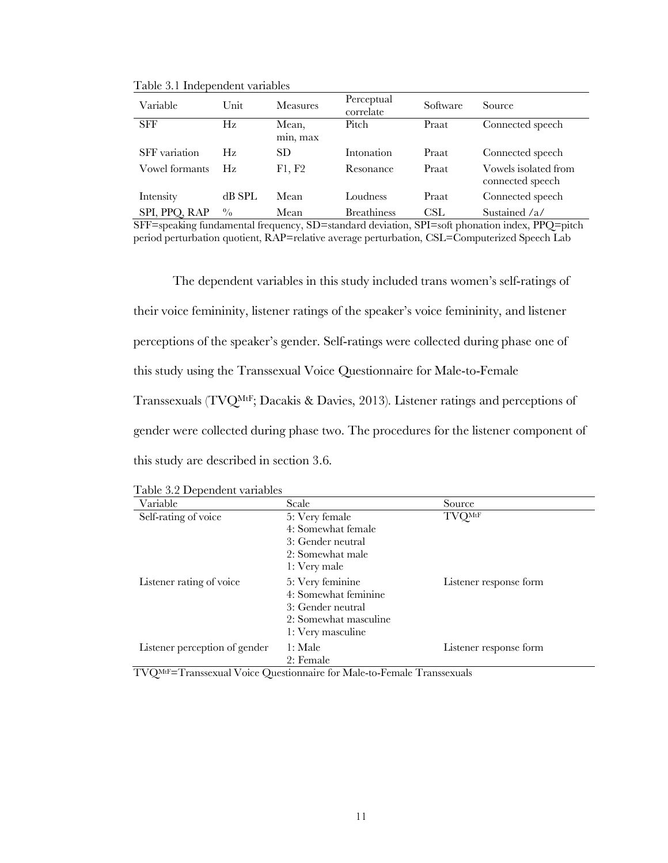| Variable       | Unit        | <b>Measures</b>   | Perceptual<br>correlate | Software | Source                                   |
|----------------|-------------|-------------------|-------------------------|----------|------------------------------------------|
| <b>SFF</b>     | Hz          | Mean,<br>min, max | Pitch                   | Praat    | Connected speech                         |
| SFF variation  | Hz.         | SD.               | Intonation              | Praat    | Connected speech                         |
| Vowel formants | Hz.         | F1, F2            | Resonance               | Praat    | Vowels isolated from<br>connected speech |
| Intensity      | dB SPL      | Mean              | Loudness                | Praat    | Connected speech                         |
| SPI, PPQ, RAP  | $^{0}/_{0}$ | Mean              | <b>Breathiness</b>      | CSL.     | Sustained /a/                            |

Table 3.1 Independent variables

SFF=speaking fundamental frequency, SD=standard deviation, SPI=soft phonation index, PPQ=pitch period perturbation quotient, RAP=relative average perturbation, CSL=Computerized Speech Lab

The dependent variables in this study included trans women's self-ratings of their voice femininity, listener ratings of the speaker's voice femininity, and listener perceptions of the speaker's gender. Self-ratings were collected during phase one of this study using the Transsexual Voice Questionnaire for Male-to-Female Transsexuals (TVQMtF; Dacakis & Davies, 2013). Listener ratings and perceptions of gender were collected during phase two. The procedures for the listener component of this study are described in section 3.6.

| Table 3.2 Dependent variables |  |  |
|-------------------------------|--|--|
|-------------------------------|--|--|

| Variable                      | Scale                                                                                                       | Source                 |
|-------------------------------|-------------------------------------------------------------------------------------------------------------|------------------------|
| Self-rating of voice          | 5: Very female<br>4: Somewhat female<br>3: Gender neutral<br>2: Somewhat male<br>1: Very male               | <b>TVQMtF</b>          |
| Listener rating of voice      | 5: Very feminine<br>4: Somewhat feminine<br>3: Gender neutral<br>2: Somewhat masculine<br>1: Very masculine | Listener response form |
| Listener perception of gender | 1: Male<br>2: Female                                                                                        | Listener response form |

TVQMtF=Transsexual Voice Questionnaire for Male-to-Female Transsexuals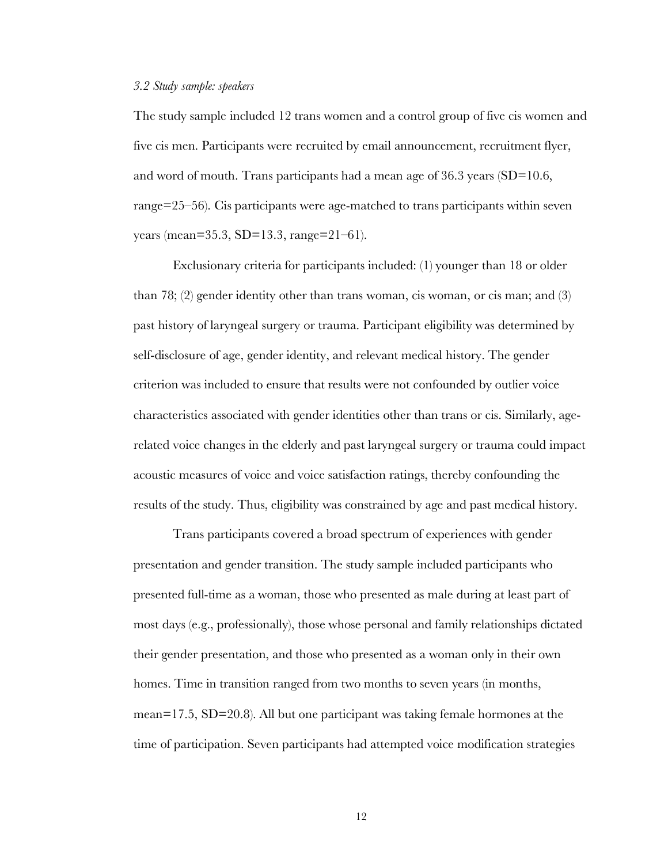#### *3.2 Study sample: speakers*

The study sample included 12 trans women and a control group of five cis women and five cis men. Participants were recruited by email announcement, recruitment flyer, and word of mouth. Trans participants had a mean age of  $36.3$  years (SD=10.6, range=25–56). Cis participants were age-matched to trans participants within seven years (mean=35.3, SD=13.3, range=21–61).

Exclusionary criteria for participants included: (1) younger than 18 or older than 78; (2) gender identity other than trans woman, cis woman, or cis man; and (3) past history of laryngeal surgery or trauma. Participant eligibility was determined by self-disclosure of age, gender identity, and relevant medical history. The gender criterion was included to ensure that results were not confounded by outlier voice characteristics associated with gender identities other than trans or cis. Similarly, agerelated voice changes in the elderly and past laryngeal surgery or trauma could impact acoustic measures of voice and voice satisfaction ratings, thereby confounding the results of the study. Thus, eligibility was constrained by age and past medical history.

Trans participants covered a broad spectrum of experiences with gender presentation and gender transition. The study sample included participants who presented full-time as a woman, those who presented as male during at least part of most days (e.g., professionally), those whose personal and family relationships dictated their gender presentation, and those who presented as a woman only in their own homes. Time in transition ranged from two months to seven years (in months, mean=17.5,  $SD=20.8$ ). All but one participant was taking female hormones at the time of participation. Seven participants had attempted voice modification strategies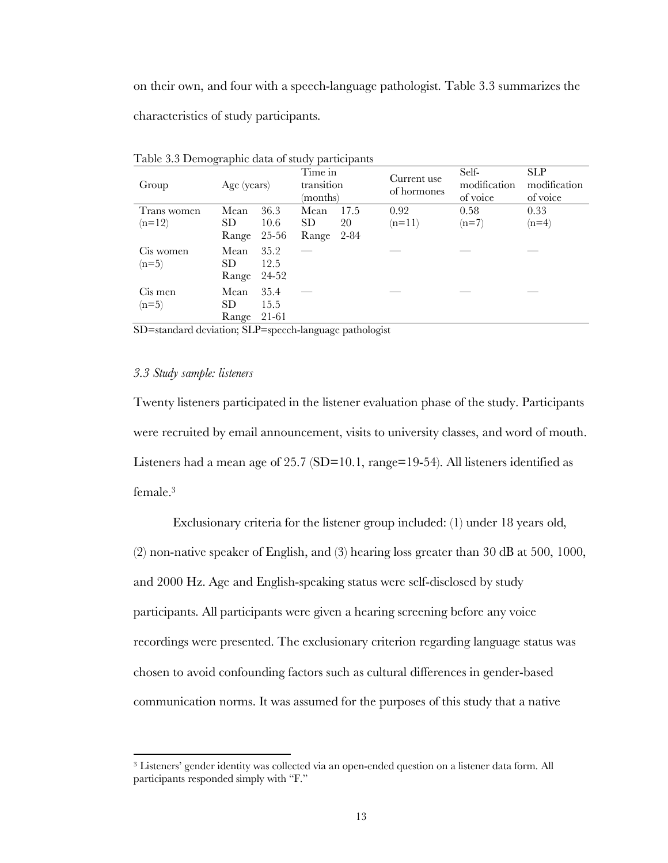on their own, and four with a speech-language pathologist. Table 3.3 summarizes the characteristics of study participants.

| Group                   | Age (years)          |                       | Time in<br>transition<br>(months) |                    | Current use<br>of hormones | Self-<br>modification<br>of voice | <b>SLP</b><br>modification<br>of voice |
|-------------------------|----------------------|-----------------------|-----------------------------------|--------------------|----------------------------|-----------------------------------|----------------------------------------|
| Trans women<br>$(n=12)$ | Mean<br>SD.<br>Range | 36.3<br>10.6<br>25-56 | Mean<br><b>SD</b><br>Range        | 17.5<br>20<br>2-84 | 0.92<br>$(n=11)$           | 0.58<br>$(n=7)$                   | 0.33<br>$(n=4)$                        |
| Cis women<br>$(n=5)$    | Mean<br>SD<br>Range  | 35.2<br>12.5<br>24-52 |                                   |                    |                            |                                   |                                        |
| Cis men<br>$(n=5)$      | Mean<br>SD<br>Range  | 35.4<br>15.5<br>21-61 |                                   |                    |                            |                                   |                                        |

Table 3.3 Demographic data of study participants

SD=standard deviation; SLP=speech-language pathologist

#### *3.3 Study sample: listeners*

 $\overline{a}$ 

Twenty listeners participated in the listener evaluation phase of the study. Participants were recruited by email announcement, visits to university classes, and word of mouth. Listeners had a mean age of 25.7 (SD=10.1, range=19-54). All listeners identified as female. 3

Exclusionary criteria for the listener group included: (1) under 18 years old, (2) non-native speaker of English, and (3) hearing loss greater than 30 dB at 500, 1000, and 2000 Hz. Age and English-speaking status were self-disclosed by study participants. All participants were given a hearing screening before any voice recordings were presented. The exclusionary criterion regarding language status was chosen to avoid confounding factors such as cultural differences in gender-based communication norms. It was assumed for the purposes of this study that a native

<sup>3</sup> Listeners' gender identity was collected via an open-ended question on a listener data form. All participants responded simply with "F."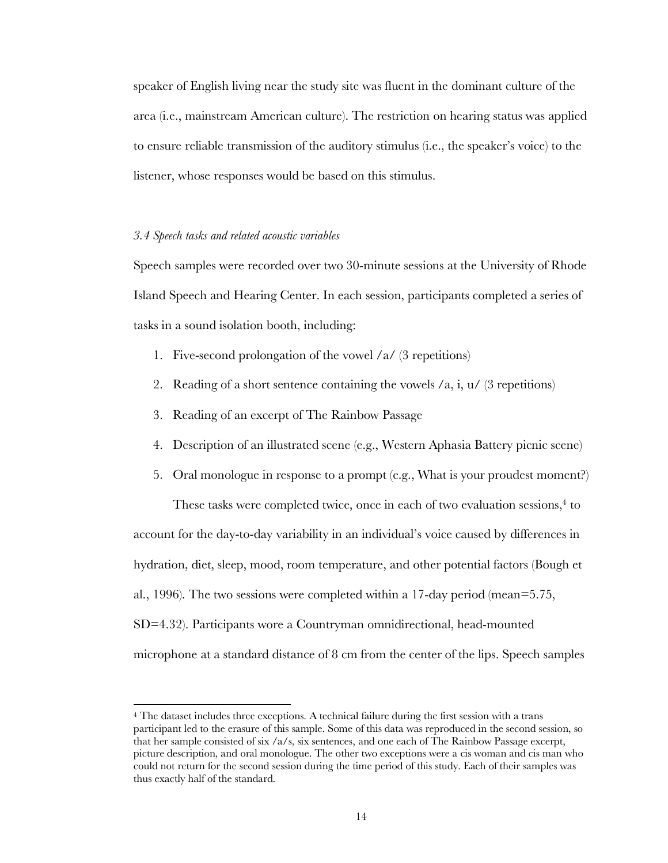speaker of English living near the study site was fluent in the dominant culture of the area (i.e., mainstream American culture). The restriction on hearing status was applied to ensure reliable transmission of the auditory stimulus (i.e., the speaker's voice) to the listener, whose responses would be based on this stimulus.

#### *3.4 Speech tasks and related acoustic variables*

 $\overline{a}$ 

Speech samples were recorded over two 30-minute sessions at the University of Rhode Island Speech and Hearing Center. In each session, participants completed a series of tasks in a sound isolation booth, including:

- 1. Five-second prolongation of the vowel  $\alpha$  (3 repetitions)
- 2. Reading of a short sentence containing the vowels  $\alpha$ , i,  $u/(\beta)$  repetitions)
- 3. Reading of an excerpt of The Rainbow Passage
- 4. Description of an illustrated scene (e.g., Western Aphasia Battery picnic scene)
- 5. Oral monologue in response to a prompt (e.g., What is your proudest moment?)

These tasks were completed twice, once in each of two evaluation sessions, <sup>4</sup> to account for the day-to-day variability in an individual's voice caused by differences in hydration, diet, sleep, mood, room temperature, and other potential factors (Bough et al., 1996). The two sessions were completed within a 17-day period (mean=5.75, SD=4.32). Participants wore a Countryman omnidirectional, head-mounted microphone at a standard distance of 8 cm from the center of the lips. Speech samples

<sup>4</sup> The dataset includes three exceptions. A technical failure during the first session with a trans participant led to the erasure of this sample. Some of this data was reproduced in the second session, so that her sample consisted of six /a/s, six sentences, and one each of The Rainbow Passage excerpt, picture description, and oral monologue. The other two exceptions were a cis woman and cis man who could not return for the second session during the time period of this study. Each of their samples was thus exactly half of the standard.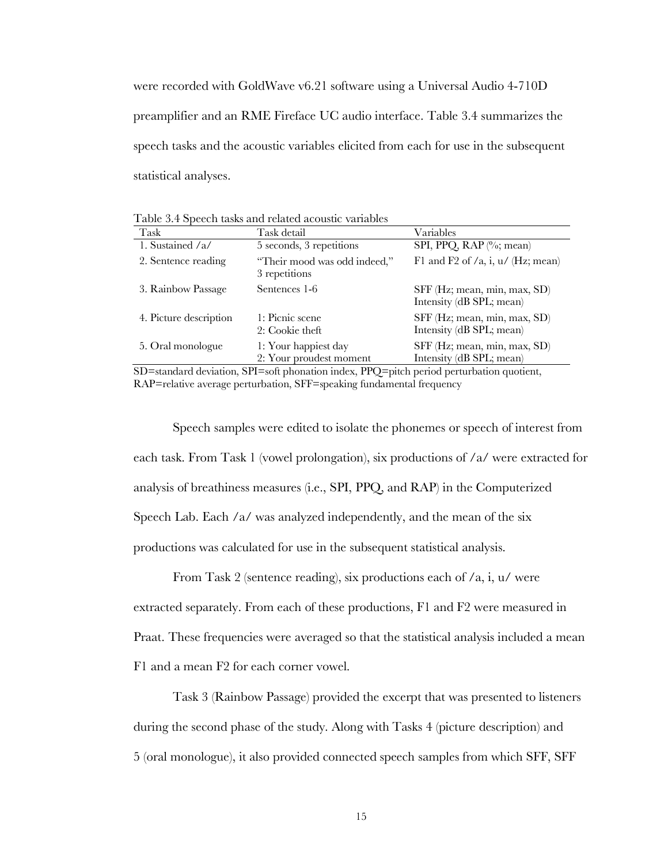were recorded with GoldWave v6.21 software using a Universal Audio 4-710D preamplifier and an RME Fireface UC audio interface. Table 3.4 summarizes the speech tasks and the acoustic variables elicited from each for use in the subsequent statistical analyses.

Table 3.4 Speech tasks and related acoustic variables

| Task                   | Task detail                                     | Variables                                                |
|------------------------|-------------------------------------------------|----------------------------------------------------------|
| 1. Sustained $/a/$     | 5 seconds, 3 repetitions                        | SPI, PPQ, RAP $\left(\%\right)$ ; mean)                  |
| 2. Sentence reading    | "Their mood was odd indeed,"<br>3 repetitions   | F1 and F2 of $/a$ , i, $u/$ (Hz; mean)                   |
| 3. Rainbow Passage     | Sentences 1-6                                   | SFF (Hz; mean, min, max, SD)<br>Intensity (dB SPL; mean) |
| 4. Picture description | 1: Picnic scene<br>2: Cookie theft              | SFF (Hz; mean, min, max, SD)<br>Intensity (dB SPL; mean) |
| 5. Oral monologue      | 1: Your happiest day<br>2: Your proudest moment | SFF (Hz; mean, min, max, SD)<br>Intensity (dB SPL; mean) |

SD=standard deviation, SPI=soft phonation index, PPQ=pitch period perturbation quotient, RAP=relative average perturbation, SFF=speaking fundamental frequency

Speech samples were edited to isolate the phonemes or speech of interest from each task. From Task 1 (vowel prolongation), six productions of /a/ were extracted for analysis of breathiness measures (i.e., SPI, PPQ, and RAP) in the Computerized Speech Lab. Each /a/ was analyzed independently, and the mean of the six productions was calculated for use in the subsequent statistical analysis.

From Task 2 (sentence reading), six productions each of /a, i, u/ were extracted separately. From each of these productions, F1 and F2 were measured in Praat. These frequencies were averaged so that the statistical analysis included a mean F1 and a mean F2 for each corner vowel.

Task 3 (Rainbow Passage) provided the excerpt that was presented to listeners during the second phase of the study. Along with Tasks 4 (picture description) and 5 (oral monologue), it also provided connected speech samples from which SFF, SFF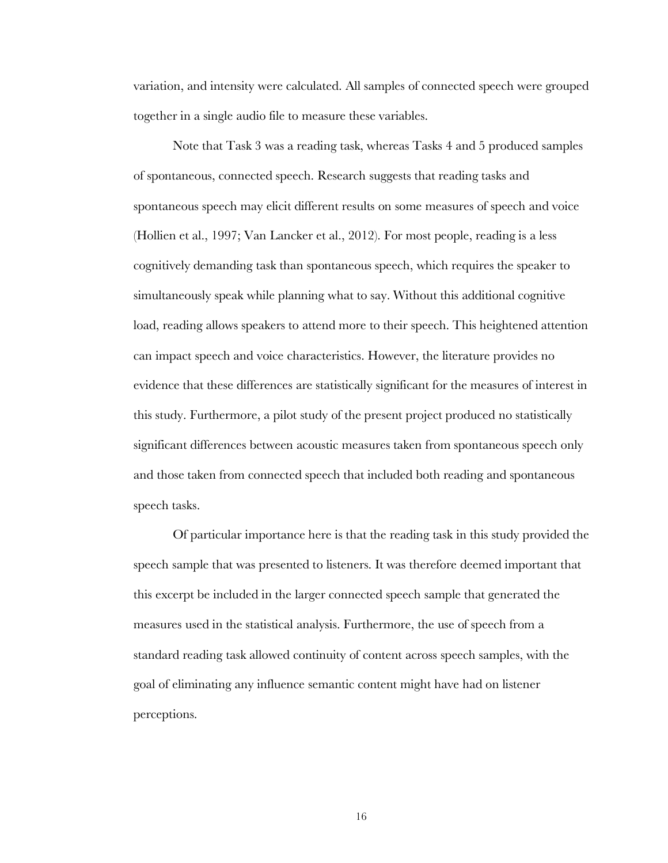variation, and intensity were calculated. All samples of connected speech were grouped together in a single audio file to measure these variables.

Note that Task 3 was a reading task, whereas Tasks 4 and 5 produced samples of spontaneous, connected speech. Research suggests that reading tasks and spontaneous speech may elicit different results on some measures of speech and voice (Hollien et al., 1997; Van Lancker et al., 2012). For most people, reading is a less cognitively demanding task than spontaneous speech, which requires the speaker to simultaneously speak while planning what to say. Without this additional cognitive load, reading allows speakers to attend more to their speech. This heightened attention can impact speech and voice characteristics. However, the literature provides no evidence that these differences are statistically significant for the measures of interest in this study. Furthermore, a pilot study of the present project produced no statistically significant differences between acoustic measures taken from spontaneous speech only and those taken from connected speech that included both reading and spontaneous speech tasks.

Of particular importance here is that the reading task in this study provided the speech sample that was presented to listeners. It was therefore deemed important that this excerpt be included in the larger connected speech sample that generated the measures used in the statistical analysis. Furthermore, the use of speech from a standard reading task allowed continuity of content across speech samples, with the goal of eliminating any influence semantic content might have had on listener perceptions.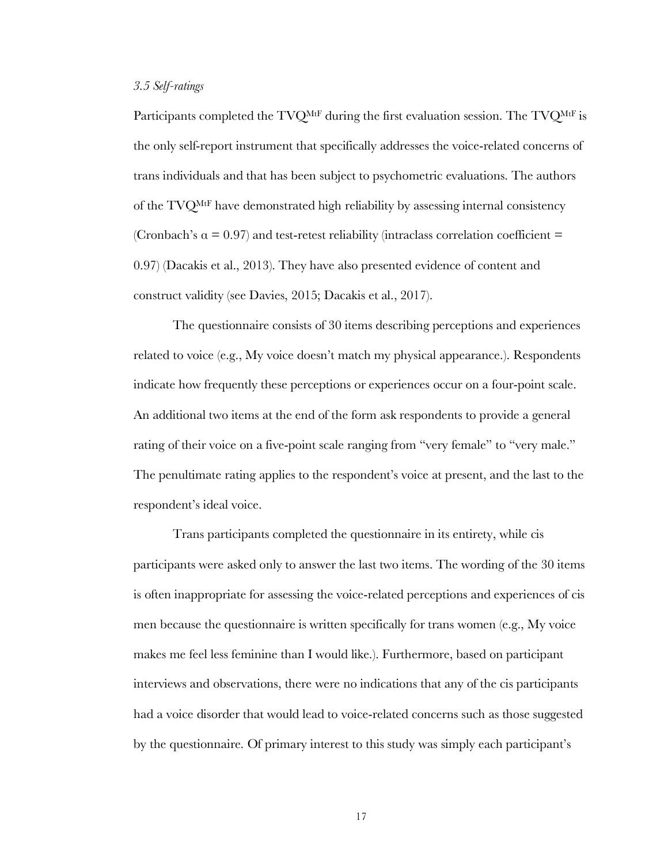#### *3.5 Self-ratings*

Participants completed the TVQ<sup>MtF</sup> during the first evaluation session. The TVQ<sup>MtF</sup> is the only self-report instrument that specifically addresses the voice-related concerns of trans individuals and that has been subject to psychometric evaluations. The authors of the TVQMtF have demonstrated high reliability by assessing internal consistency (Cronbach's  $\alpha = 0.97$ ) and test-retest reliability (intraclass correlation coefficient = 0.97) (Dacakis et al., 2013). They have also presented evidence of content and construct validity (see Davies, 2015; Dacakis et al., 2017).

The questionnaire consists of 30 items describing perceptions and experiences related to voice (e.g., My voice doesn't match my physical appearance.). Respondents indicate how frequently these perceptions or experiences occur on a four-point scale. An additional two items at the end of the form ask respondents to provide a general rating of their voice on a five-point scale ranging from "very female" to "very male." The penultimate rating applies to the respondent's voice at present, and the last to the respondent's ideal voice.

Trans participants completed the questionnaire in its entirety, while cis participants were asked only to answer the last two items. The wording of the 30 items is often inappropriate for assessing the voice-related perceptions and experiences of cis men because the questionnaire is written specifically for trans women (e.g., My voice makes me feel less feminine than I would like.). Furthermore, based on participant interviews and observations, there were no indications that any of the cis participants had a voice disorder that would lead to voice-related concerns such as those suggested by the questionnaire. Of primary interest to this study was simply each participant's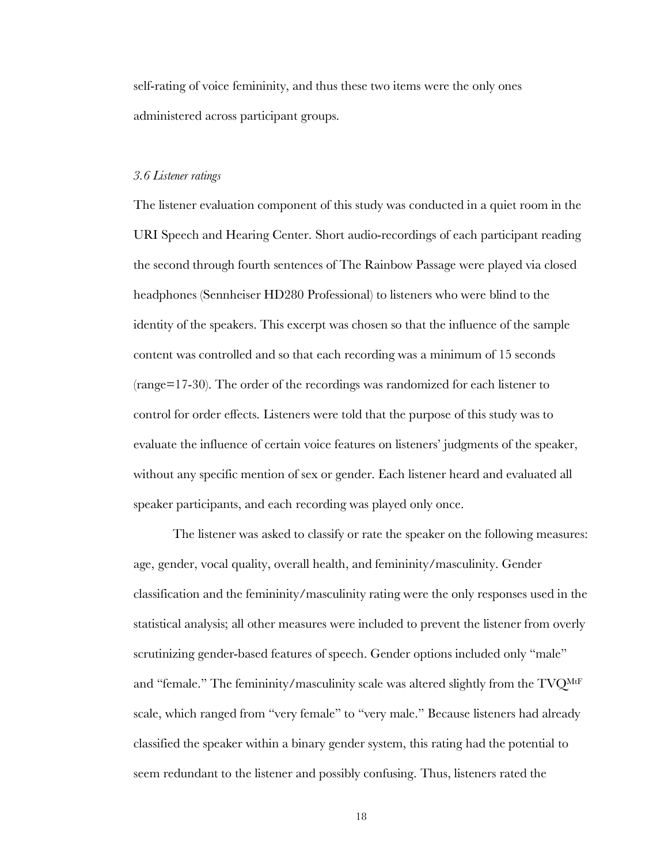self-rating of voice femininity, and thus these two items were the only ones administered across participant groups.

#### *3.6 Listener ratings*

The listener evaluation component of this study was conducted in a quiet room in the URI Speech and Hearing Center. Short audio-recordings of each participant reading the second through fourth sentences of The Rainbow Passage were played via closed headphones (Sennheiser HD280 Professional) to listeners who were blind to the identity of the speakers. This excerpt was chosen so that the influence of the sample content was controlled and so that each recording was a minimum of 15 seconds (range=17-30). The order of the recordings was randomized for each listener to control for order effects. Listeners were told that the purpose of this study was to evaluate the influence of certain voice features on listeners' judgments of the speaker, without any specific mention of sex or gender. Each listener heard and evaluated all speaker participants, and each recording was played only once.

The listener was asked to classify or rate the speaker on the following measures: age, gender, vocal quality, overall health, and femininity/masculinity. Gender classification and the femininity/masculinity rating were the only responses used in the statistical analysis; all other measures were included to prevent the listener from overly scrutinizing gender-based features of speech. Gender options included only "male" and "female." The femininity/masculinity scale was altered slightly from the TVQMtF scale, which ranged from "very female" to "very male." Because listeners had already classified the speaker within a binary gender system, this rating had the potential to seem redundant to the listener and possibly confusing. Thus, listeners rated the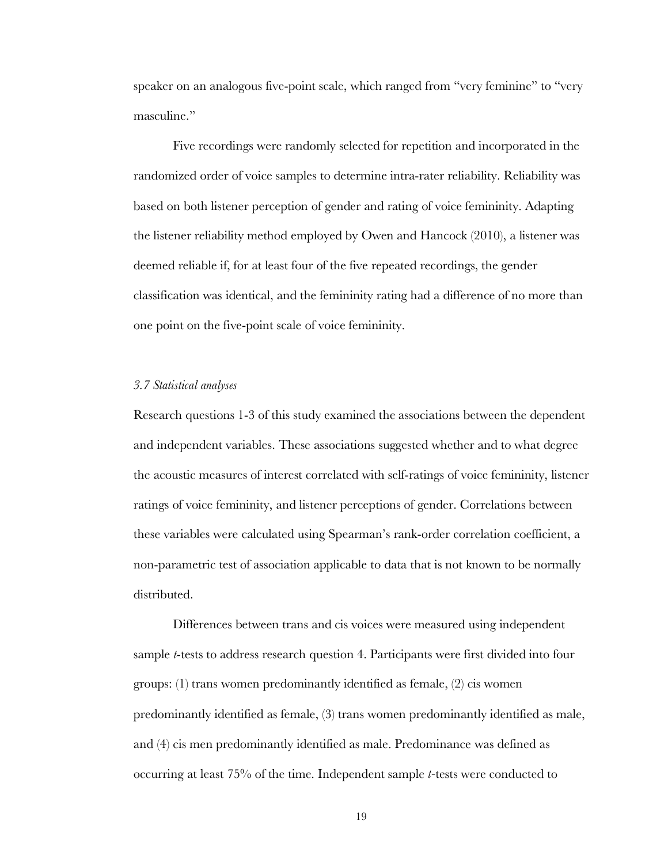speaker on an analogous five-point scale, which ranged from "very feminine" to "very masculine."

Five recordings were randomly selected for repetition and incorporated in the randomized order of voice samples to determine intra-rater reliability. Reliability was based on both listener perception of gender and rating of voice femininity. Adapting the listener reliability method employed by Owen and Hancock (2010), a listener was deemed reliable if, for at least four of the five repeated recordings, the gender classification was identical, and the femininity rating had a difference of no more than one point on the five-point scale of voice femininity.

#### *3.7 Statistical analyses*

Research questions 1-3 of this study examined the associations between the dependent and independent variables. These associations suggested whether and to what degree the acoustic measures of interest correlated with self-ratings of voice femininity, listener ratings of voice femininity, and listener perceptions of gender. Correlations between these variables were calculated using Spearman's rank-order correlation coefficient, a non-parametric test of association applicable to data that is not known to be normally distributed.

Differences between trans and cis voices were measured using independent sample *t*-tests to address research question 4. Participants were first divided into four groups: (1) trans women predominantly identified as female, (2) cis women predominantly identified as female, (3) trans women predominantly identified as male, and (4) cis men predominantly identified as male. Predominance was defined as occurring at least 75% of the time. Independent sample *t-*tests were conducted to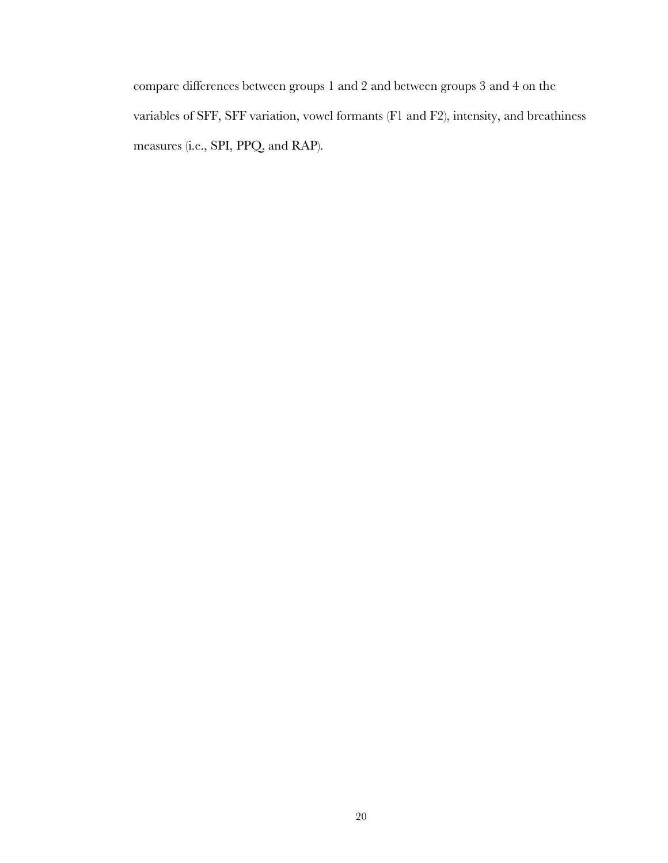compare differences between groups 1 and 2 and between groups 3 and 4 on the variables of SFF, SFF variation, vowel formants (F1 and F2), intensity, and breathiness measures (i.e., SPI, PPQ, and RAP).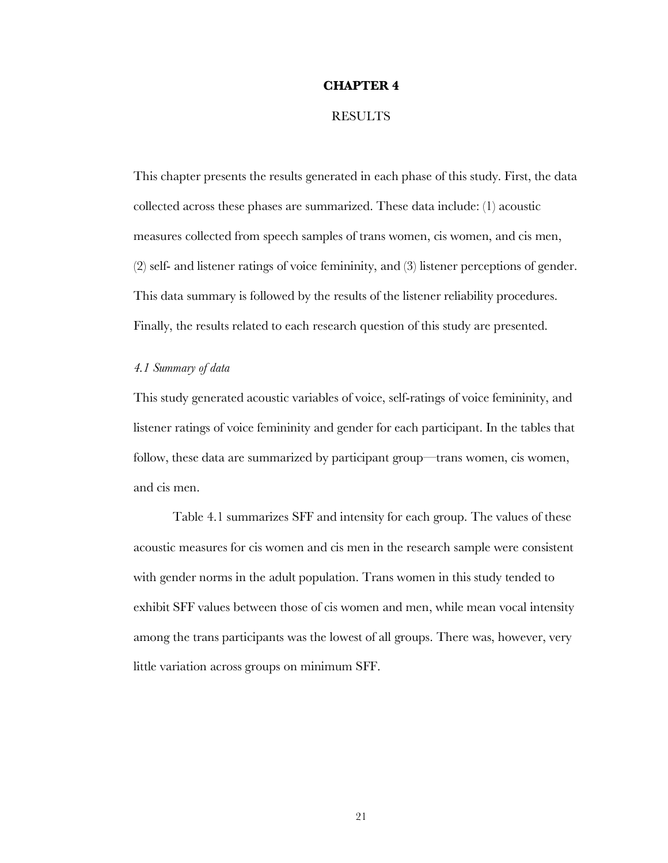#### **CHAPTER 4**

#### **RESULTS**

This chapter presents the results generated in each phase of this study. First, the data collected across these phases are summarized. These data include: (1) acoustic measures collected from speech samples of trans women, cis women, and cis men, (2) self- and listener ratings of voice femininity, and (3) listener perceptions of gender. This data summary is followed by the results of the listener reliability procedures. Finally, the results related to each research question of this study are presented.

#### *4.1 Summary of data*

This study generated acoustic variables of voice, self-ratings of voice femininity, and listener ratings of voice femininity and gender for each participant. In the tables that follow, these data are summarized by participant group—trans women, cis women, and cis men.

Table 4.1 summarizes SFF and intensity for each group. The values of these acoustic measures for cis women and cis men in the research sample were consistent with gender norms in the adult population. Trans women in this study tended to exhibit SFF values between those of cis women and men, while mean vocal intensity among the trans participants was the lowest of all groups. There was, however, very little variation across groups on minimum SFF.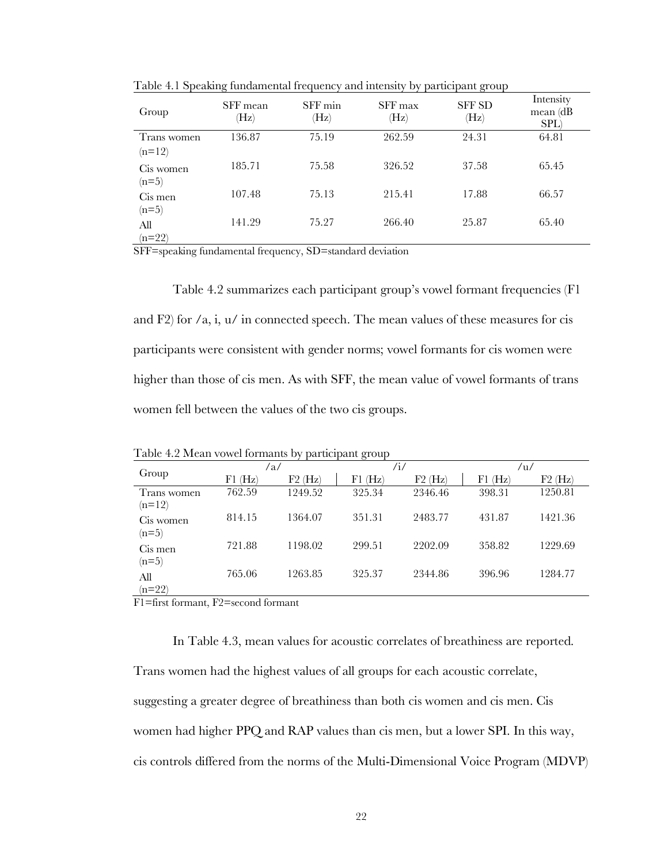| Group       | SFF mean<br>(Hz) | SFF min<br>$(\mathrm{Hz})$ | SFF max<br>(Hz) | <b>SFF SD</b><br>(Hz) | Intensity<br>$mean$ (dB)<br>SPL) |
|-------------|------------------|----------------------------|-----------------|-----------------------|----------------------------------|
| Trans women | 136.87           | 75.19                      | 262.59          | 24.31                 | 64.81                            |
| $(n=12)$    |                  |                            |                 |                       |                                  |
| Cis women   | 185.71           | 75.58                      | 326.52          | 37.58                 | 65.45                            |
| $(n=5)$     |                  |                            |                 |                       |                                  |
| Cis men     | 107.48           | 75.13                      | 215.41          | 17.88                 | 66.57                            |
| $(n=5)$     |                  |                            |                 |                       |                                  |
| All         | 141.29           | 75.27                      | 266.40          | 25.87                 | 65.40                            |
| $(n=22)$    |                  |                            |                 |                       |                                  |

Table 4.1 Speaking fundamental frequency and intensity by participant group

SFF=speaking fundamental frequency, SD=standard deviation

Table 4.2 summarizes each participant group's vowel formant frequencies (F1 and F2) for  $\alpha$ , i,  $\alpha$  in connected speech. The mean values of these measures for cis participants were consistent with gender norms; vowel formants for cis women were higher than those of cis men. As with SFF, the mean value of vowel formants of trans women fell between the values of the two cis groups.

Table 4.2 Mean vowel formants by participant group

| $1.0010$ $1.4$ $1.10001$ $1.0111001$<br>paracipane group |           |           |            |           |             |           |  |  |
|----------------------------------------------------------|-----------|-----------|------------|-----------|-------------|-----------|--|--|
|                                                          |           | /a/       | /i/<br>/u/ |           |             |           |  |  |
| Group                                                    | $F1$ (Hz) | $F2$ (Hz) | $F1$ (Hz)  | $F2$ (Hz) | $F1$ $(Hz)$ | $F2$ (Hz) |  |  |
| Trans women<br>$(n=12)$                                  | 762.59    | 1249.52   | 325.34     | 2346.46   | 398.31      | 1250.81   |  |  |
| Cis women<br>$(n=5)$                                     | 814.15    | 1364.07   | 351.31     | 2483.77   | 431.87      | 1421.36   |  |  |
| Cis men<br>$(n=5)$                                       | 721.88    | 1198.02   | 299.51     | 2202.09   | 358.82      | 1229.69   |  |  |
| All<br>$(n=22)$                                          | 765.06    | 1263.85   | 325.37     | 2344.86   | 396.96      | 1284.77   |  |  |

F1=first formant, F2=second formant

In Table 4.3, mean values for acoustic correlates of breathiness are reported.

Trans women had the highest values of all groups for each acoustic correlate, suggesting a greater degree of breathiness than both cis women and cis men. Cis women had higher PPQ and RAP values than cis men, but a lower SPI. In this way, cis controls differed from the norms of the Multi-Dimensional Voice Program (MDVP)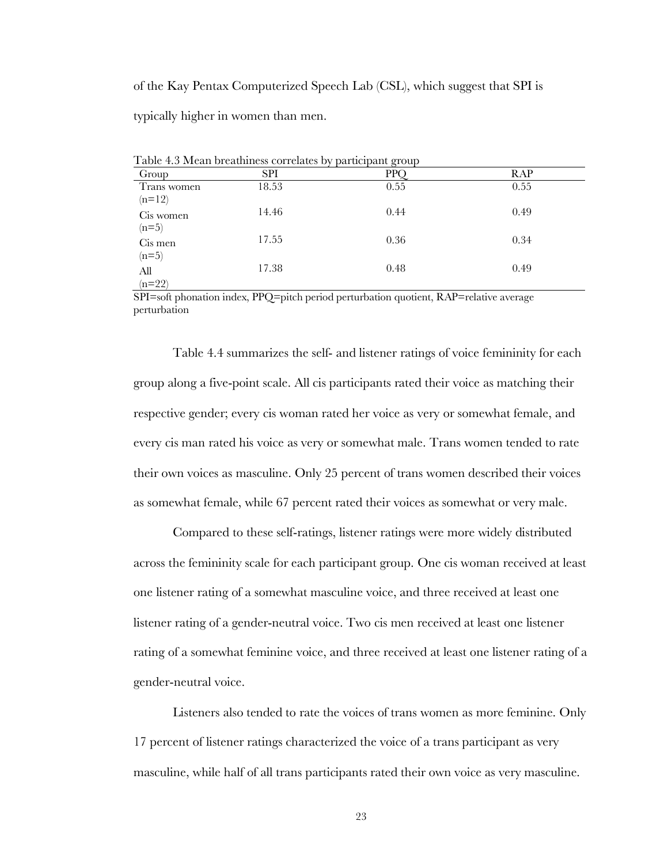of the Kay Pentax Computerized Speech Lab (CSL), which suggest that SPI is

typically higher in women than men.

| Group       | <b>SPI</b> | PPC  | RAP  |
|-------------|------------|------|------|
| Trans women | 18.53      | 0.55 | 0.55 |
| $(n=12)$    |            |      |      |
| Cis women   | 14.46      | 0.44 | 0.49 |
| $(n=5)$     |            |      |      |
| Cis men     | 17.55      | 0.36 | 0.34 |
| $(n=5)$     |            |      |      |
| All         | 17.38      | 0.48 | 0.49 |
| $(n=22)$    |            |      |      |

Table 4.3 Mean breathiness correlates by participant group

SPI=soft phonation index, PPQ=pitch period perturbation quotient, RAP=relative average perturbation

Table 4.4 summarizes the self- and listener ratings of voice femininity for each group along a five-point scale. All cis participants rated their voice as matching their respective gender; every cis woman rated her voice as very or somewhat female, and every cis man rated his voice as very or somewhat male. Trans women tended to rate their own voices as masculine. Only 25 percent of trans women described their voices as somewhat female, while 67 percent rated their voices as somewhat or very male.

Compared to these self-ratings, listener ratings were more widely distributed across the femininity scale for each participant group. One cis woman received at least one listener rating of a somewhat masculine voice, and three received at least one listener rating of a gender-neutral voice. Two cis men received at least one listener rating of a somewhat feminine voice, and three received at least one listener rating of a gender-neutral voice.

Listeners also tended to rate the voices of trans women as more feminine. Only 17 percent of listener ratings characterized the voice of a trans participant as very masculine, while half of all trans participants rated their own voice as very masculine.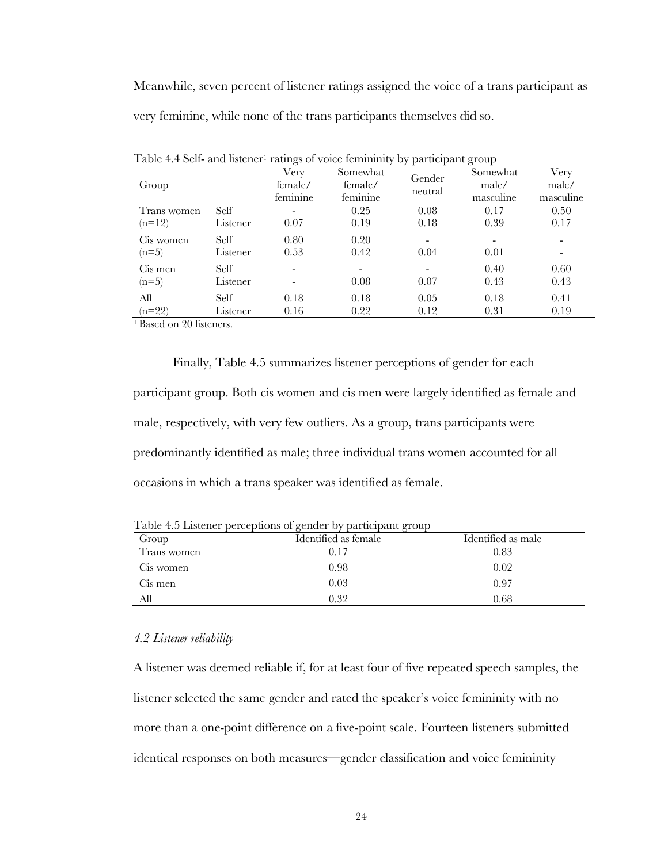Meanwhile, seven percent of listener ratings assigned the voice of a trans participant as very feminine, while none of the trans participants themselves did so.

|             |             | $\epsilon$ |                          |                | $\cdot$ $\cdot$ |           |
|-------------|-------------|------------|--------------------------|----------------|-----------------|-----------|
|             |             | Very       | Somewhat                 | Gender         | Somewhat        | Very      |
| Group       |             | female/    | female/                  | neutral        | male/           | male/     |
|             |             | feminine   | feminine                 |                | masculine       | masculine |
| Trans women | <b>Self</b> |            | 0.25                     | 0.08           | 0.17            | 0.50      |
| $(n=12)$    | Listener    | 0.07       | 0.19                     | 0.18           | 0.39            | 0.17      |
| Cis women   | Self        | 0.80       | 0.20                     | $\blacksquare$ |                 |           |
| $(n=5)$     | Listener    | 0.53       | 0.42                     | 0.04           | 0.01            |           |
| Cis men     | Self        |            | $\overline{\phantom{a}}$ |                | 0.40            | 0.60      |
| $(n=5)$     | Listener    |            | 0.08                     | 0.07           | 0.43            | 0.43      |
| All         | Self        | 0.18       | 0.18                     | 0.05           | 0.18            | 0.41      |
| $(n=22)$    | Listener    | 0.16       | 0.22                     | 0.12           | 0.31            | 0.19      |
|             |             |            |                          |                |                 |           |

Table 4.4 Self- and listener<sup>1</sup> ratings of voice femininity by participant group

<sup>1</sup> Based on 20 listeners.

Finally, Table 4.5 summarizes listener perceptions of gender for each participant group. Both cis women and cis men were largely identified as female and male, respectively, with very few outliers. As a group, trans participants were predominantly identified as male; three individual trans women accounted for all occasions in which a trans speaker was identified as female.

| Group       | Identified as female | Identified as male |
|-------------|----------------------|--------------------|
| Trans women | 0.17                 | 0.83               |
| Cis women   | 0.98                 | 0.02               |
| Cis men     | 0.03                 | 0.97               |
| All         | 0.32                 | 0.68               |

Table 4.5 Listener perceptions of gender by participant group

#### *4.2 Listener reliability*

A listener was deemed reliable if, for at least four of five repeated speech samples, the listener selected the same gender and rated the speaker's voice femininity with no more than a one-point difference on a five-point scale. Fourteen listeners submitted identical responses on both measures—gender classification and voice femininity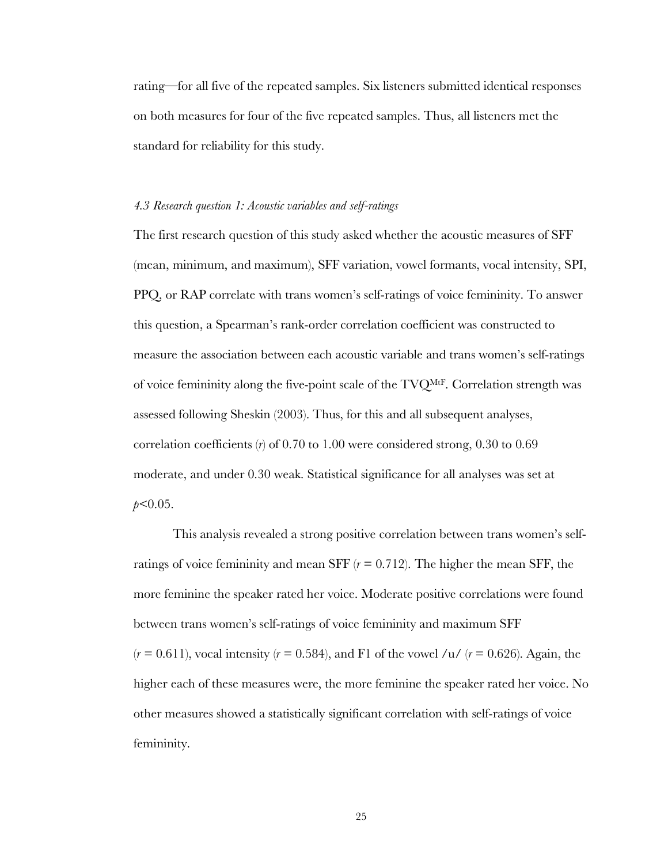rating—for all five of the repeated samples. Six listeners submitted identical responses on both measures for four of the five repeated samples. Thus, all listeners met the standard for reliability for this study.

#### *4.3 Research question 1: Acoustic variables and self-ratings*

The first research question of this study asked whether the acoustic measures of SFF (mean, minimum, and maximum), SFF variation, vowel formants, vocal intensity, SPI, PPQ, or RAP correlate with trans women's self-ratings of voice femininity. To answer this question, a Spearman's rank-order correlation coefficient was constructed to measure the association between each acoustic variable and trans women's self-ratings of voice femininity along the five-point scale of the TVQMtF. Correlation strength was assessed following Sheskin (2003). Thus, for this and all subsequent analyses, correlation coefficients (*r*) of 0.70 to 1.00 were considered strong, 0.30 to 0.69 moderate, and under 0.30 weak. Statistical significance for all analyses was set at *p*<0.05.

This analysis revealed a strong positive correlation between trans women's selfratings of voice femininity and mean SFF (*r* = 0.712). The higher the mean SFF, the more feminine the speaker rated her voice. Moderate positive correlations were found between trans women's self-ratings of voice femininity and maximum SFF  $(r = 0.611)$ , vocal intensity  $(r = 0.584)$ , and F1 of the vowel /u/  $(r = 0.626)$ . Again, the higher each of these measures were, the more feminine the speaker rated her voice. No other measures showed a statistically significant correlation with self-ratings of voice femininity.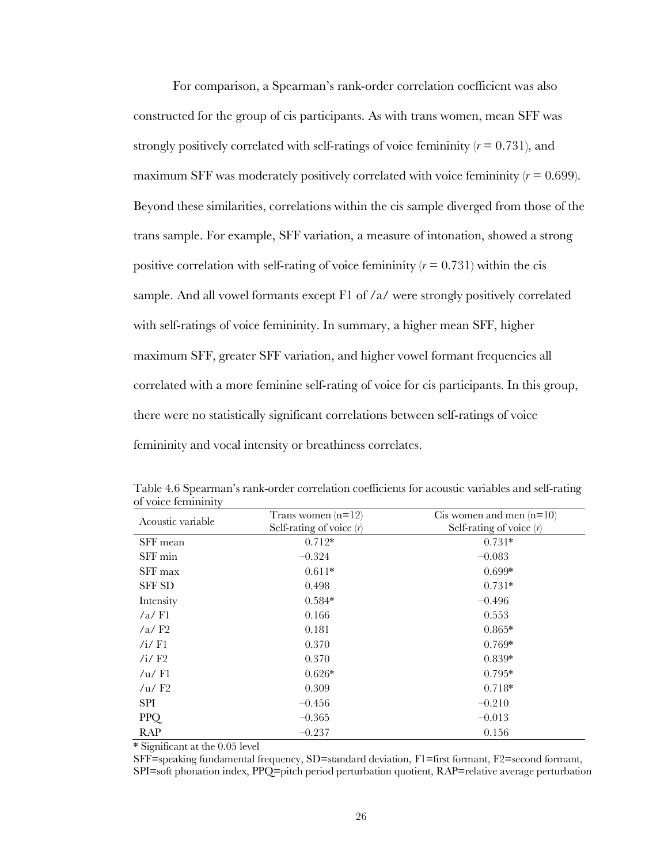For comparison, a Spearman's rank-order correlation coefficient was also constructed for the group of cis participants. As with trans women, mean SFF was strongly positively correlated with self-ratings of voice femininity  $(r = 0.731)$ , and maximum SFF was moderately positively correlated with voice femininity  $(r = 0.699)$ . Beyond these similarities, correlations within the cis sample diverged from those of the trans sample. For example, SFF variation, a measure of intonation, showed a strong positive correlation with self-rating of voice femininity  $(r = 0.731)$  within the cis sample. And all vowel formants except F1 of /a/ were strongly positively correlated with self-ratings of voice femininity. In summary, a higher mean SFF, higher maximum SFF, greater SFF variation, and higher vowel formant frequencies all correlated with a more feminine self-rating of voice for cis participants. In this group, there were no statistically significant correlations between self-ratings of voice femininity and vocal intensity or breathiness correlates.

| Acoustic variable        | Trans women $(n=12)$<br>Self-rating of voice $(r)$ | Cis women and men $(n=10)$<br>Self-rating of voice $(r)$ |
|--------------------------|----------------------------------------------------|----------------------------------------------------------|
| SFF mean                 | $0.712*$                                           | $0.731*$                                                 |
| SFF min                  | $-0.324$                                           | $-0.083$                                                 |
| SFF max                  | $0.611*$                                           | $0.699*$                                                 |
| <b>SFF SD</b>            | 0.498                                              | $0.731*$                                                 |
| Intensity                | $0.584*$                                           | $-0.496$                                                 |
| $/a$ Fl                  | 0.166                                              | 0.553                                                    |
| $/a$ / $F2$              | 0.181                                              | $0.865*$                                                 |
| /i / F1                  | 0.370                                              | $0.769*$                                                 |
| /i/ $F2$                 | 0.370                                              | $0.839*$                                                 |
| / $u$ / F1               | $0.626*$                                           | $0.795*$                                                 |
| / $\mu$ / F <sub>2</sub> | 0.309                                              | $0.718*$                                                 |
| SPI                      | $-0.456$                                           | $-0.210$                                                 |
| PPQ                      | $-0.365$                                           | $-0.013$                                                 |
| <b>RAP</b>               | $-0.237$                                           | 0.156                                                    |

Table 4.6 Spearman's rank-order correlation coefficients for acoustic variables and self-rating of voice femininity

\* Significant at the 0.05 level

SFF=speaking fundamental frequency, SD=standard deviation, F1=first formant, F2=second formant, SPI=soft phonation index, PPQ=pitch period perturbation quotient, RAP=relative average perturbation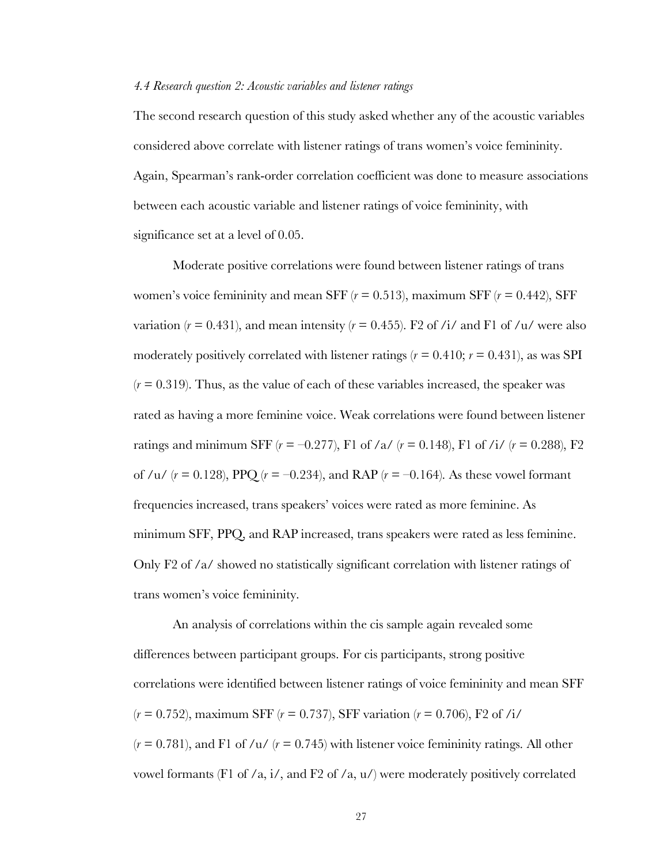#### *4.4 Research question 2: Acoustic variables and listener ratings*

The second research question of this study asked whether any of the acoustic variables considered above correlate with listener ratings of trans women's voice femininity. Again, Spearman's rank-order correlation coefficient was done to measure associations between each acoustic variable and listener ratings of voice femininity, with significance set at a level of 0.05.

Moderate positive correlations were found between listener ratings of trans women's voice femininity and mean SFF  $(r = 0.513)$ , maximum SFF  $(r = 0.442)$ , SFF variation ( $r = 0.431$ ), and mean intensity ( $r = 0.455$ ). F2 of /i/ and F1 of /u/ were also moderately positively correlated with listener ratings  $(r = 0.410; r = 0.431)$ , as was SPI  $(r = 0.319)$ . Thus, as the value of each of these variables increased, the speaker was rated as having a more feminine voice. Weak correlations were found between listener ratings and minimum SFF  $(r = -0.277)$ , F1 of  $/a / (r = 0.148)$ , F1 of  $/i / (r = 0.288)$ , F2 of /u/  $(r = 0.128)$ , PPQ  $(r = -0.234)$ , and RAP  $(r = -0.164)$ . As these vowel formant frequencies increased, trans speakers' voices were rated as more feminine. As minimum SFF, PPQ, and RAP increased, trans speakers were rated as less feminine. Only F2 of /a/ showed no statistically significant correlation with listener ratings of trans women's voice femininity.

An analysis of correlations within the cis sample again revealed some differences between participant groups. For cis participants, strong positive correlations were identified between listener ratings of voice femininity and mean SFF (*r* = 0.752), maximum SFF (*r* = 0.737), SFF variation (*r* = 0.706), F2 of /i/  $(r = 0.781)$ , and F1 of /u/  $(r = 0.745)$  with listener voice femininity ratings. All other vowel formants (F1 of /a, i/, and F2 of /a,  $u$ /) were moderately positively correlated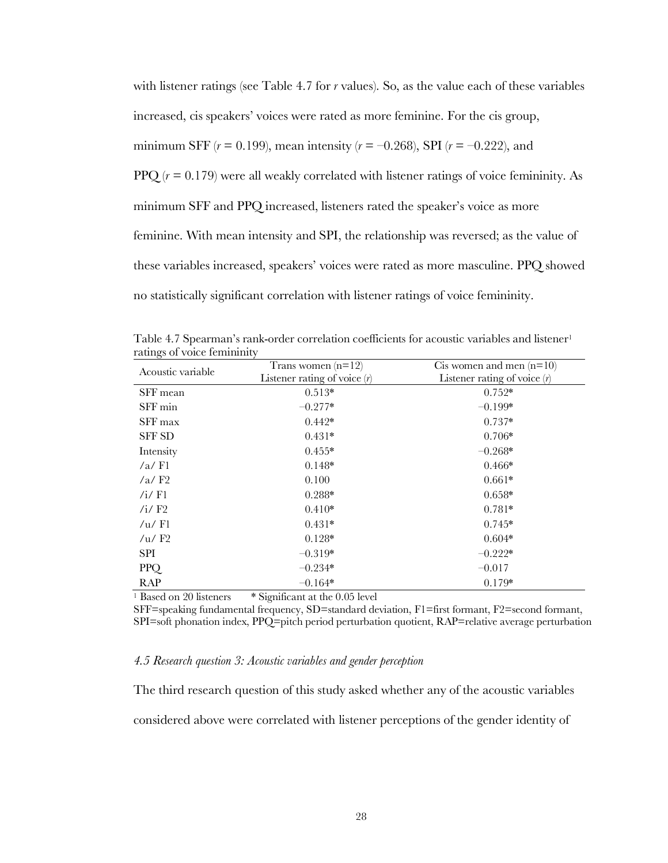with listener ratings (see Table 4.7 for *r* values). So, as the value each of these variables increased, cis speakers' voices were rated as more feminine. For the cis group, minimum SFF  $(r = 0.199)$ , mean intensity  $(r = -0.268)$ , SPI  $(r = -0.222)$ , and PPQ  $(r = 0.179)$  were all weakly correlated with listener ratings of voice femininity. As minimum SFF and PPQ increased, listeners rated the speaker's voice as more feminine. With mean intensity and SPI, the relationship was reversed; as the value of these variables increased, speakers' voices were rated as more masculine. PPQ showed no statistically significant correlation with listener ratings of voice femininity.

| Acoustic variable        | Trans women $(n=12)$<br>Listener rating of voice $(r)$ | C is women and men $(n=10)$<br>Listener rating of voice $(r)$ |  |  |
|--------------------------|--------------------------------------------------------|---------------------------------------------------------------|--|--|
| SFF mean                 | $0.513*$                                               | $0.752*$                                                      |  |  |
| SFF min                  | $-0.277*$                                              | $-0.199*$                                                     |  |  |
| SFF max                  | $0.442*$                                               | $0.737*$                                                      |  |  |
| <b>SFF SD</b>            | $0.431*$                                               | $0.706*$                                                      |  |  |
| Intensity                | $0.455*$                                               | $-0.268*$                                                     |  |  |
| $/a$ Fl                  | $0.148*$                                               | $0.466*$                                                      |  |  |
| $/a$ /F <sub>2</sub>     | 0.100                                                  | $0.661*$                                                      |  |  |
| /i/ $F1$                 | $0.288*$                                               | $0.658*$                                                      |  |  |
| / $i$ / $F2$             | $0.410*$                                               | $0.781*$                                                      |  |  |
| / $u$ / Fl               | $0.431*$                                               | $0.745*$                                                      |  |  |
| / $\mu$ / F <sub>2</sub> | $0.128*$                                               | $0.604*$                                                      |  |  |
| <b>SPI</b>               | $-0.319*$                                              | $-0.222*$                                                     |  |  |
| PPQ                      | $-0.234*$                                              | $-0.017$                                                      |  |  |
| RAP                      | $-0.164*$                                              | $0.179*$                                                      |  |  |

Table 4.7 Spearman's rank-order correlation coefficients for acoustic variables and listener<sup>1</sup> ratings of voice femininity

<sup>1</sup> Based on 20 listeners \* Significant at the 0.05 level

SFF=speaking fundamental frequency, SD=standard deviation, F1=first formant, F2=second formant, SPI=soft phonation index, PPQ=pitch period perturbation quotient, RAP=relative average perturbation

#### *4.5 Research question 3: Acoustic variables and gender perception*

The third research question of this study asked whether any of the acoustic variables considered above were correlated with listener perceptions of the gender identity of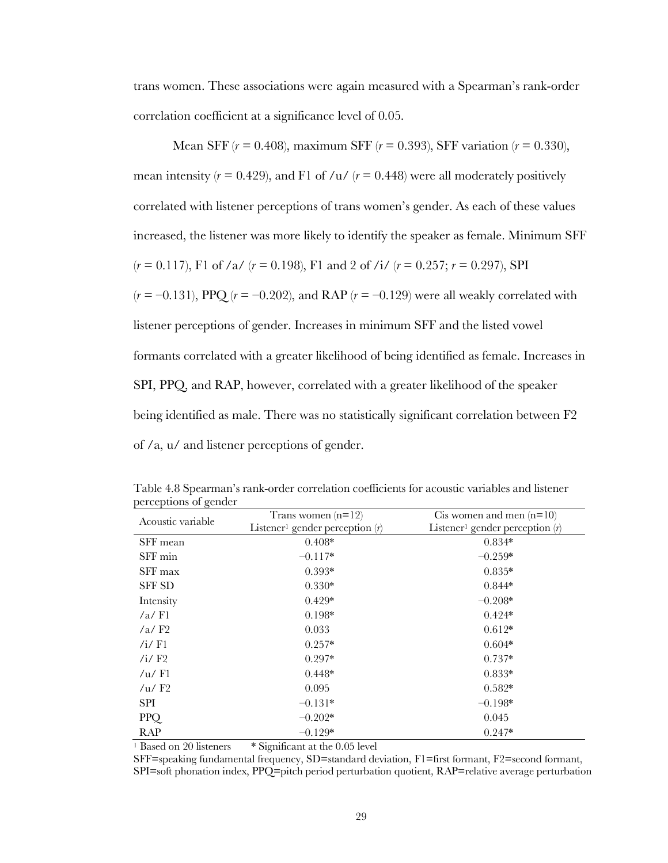trans women. These associations were again measured with a Spearman's rank-order correlation coefficient at a significance level of 0.05.

Mean SFF (*r* = 0.408), maximum SFF (*r* = 0.393), SFF variation (*r* = 0.330), mean intensity  $(r = 0.429)$ , and F1 of /u/  $(r = 0.448)$  were all moderately positively correlated with listener perceptions of trans women's gender. As each of these values increased, the listener was more likely to identify the speaker as female. Minimum SFF  $(r = 0.117)$ , F1 of /a/  $(r = 0.198)$ , F1 and 2 of /i/  $(r = 0.257; r = 0.297)$ , SPI  $(r = -0.131)$ , PPQ  $(r = -0.202)$ , and RAP  $(r = -0.129)$  were all weakly correlated with listener perceptions of gender. Increases in minimum SFF and the listed vowel formants correlated with a greater likelihood of being identified as female. Increases in SPI, PPQ, and RAP, however, correlated with a greater likelihood of the speaker being identified as male. There was no statistically significant correlation between F2 of /a, u/ and listener perceptions of gender.

| porceptions or general | Trans women $(n=12)$                          | C is women and men $(n=10)$                   |  |  |
|------------------------|-----------------------------------------------|-----------------------------------------------|--|--|
| Acoustic variable      | Listener <sup>1</sup> gender perception $(r)$ | Listener <sup>1</sup> gender perception $(r)$ |  |  |
| SFF mean               | $0.408*$                                      | $0.834*$                                      |  |  |
| SFF min                | $-0.117*$                                     | $-0.259*$                                     |  |  |
| SFF max                | $0.393*$                                      | $0.835*$                                      |  |  |
| <b>SFF SD</b>          | $0.330*$                                      | $0.844*$                                      |  |  |
| Intensity              | $0.429*$                                      | $-0.208*$                                     |  |  |
| $/a$ Fl                | $0.198*$                                      | $0.424*$                                      |  |  |
| $/a$ /F <sub>2</sub>   | 0.033                                         | $0.612*$                                      |  |  |
| /i/ $F1$               | $0.257*$                                      | $0.604*$                                      |  |  |
| /i/ $F2$               | $0.297*$                                      | $0.737*$                                      |  |  |
| /u/F1                  | $0.448*$                                      | $0.833*$                                      |  |  |
| /u/F2                  | 0.095                                         | $0.582*$                                      |  |  |
| SPI                    | $-0.131*$                                     | $-0.198*$                                     |  |  |
| PPQ                    | $-0.202*$                                     | 0.045                                         |  |  |
| RAP                    | $-0.129*$                                     | $0.247*$                                      |  |  |

Table 4.8 Spearman's rank-order correlation coefficients for acoustic variables and listener perceptions of gender

<sup>1</sup> Based on 20 listeners \* Significant at the 0.05 level

SFF=speaking fundamental frequency, SD=standard deviation, F1=first formant, F2=second formant, SPI=soft phonation index, PPQ=pitch period perturbation quotient, RAP=relative average perturbation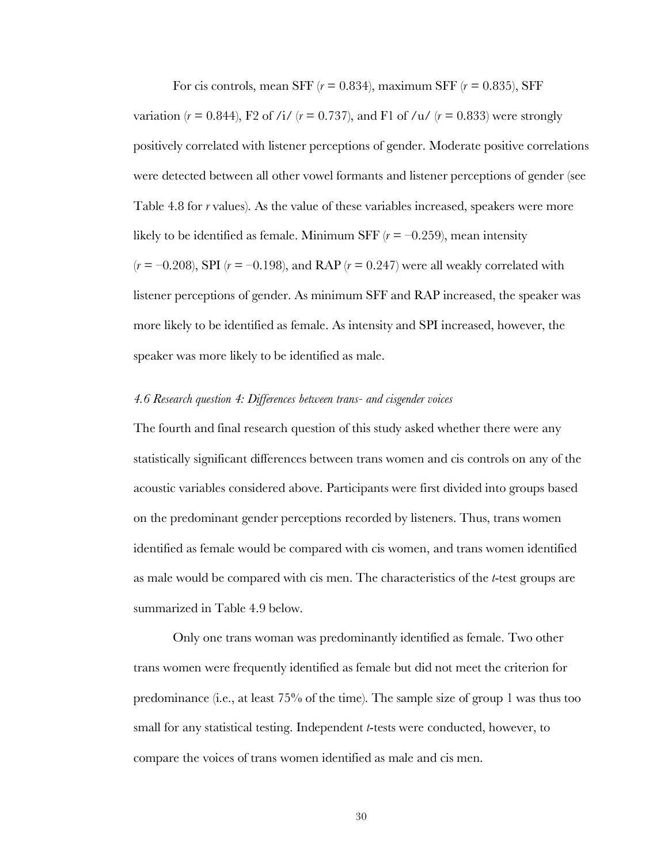For cis controls, mean SFF  $(r = 0.834)$ , maximum SFF  $(r = 0.835)$ , SFF variation ( $r = 0.844$ ), F2 of /i/ ( $r = 0.737$ ), and F1 of /u/ ( $r = 0.833$ ) were strongly positively correlated with listener perceptions of gender. Moderate positive correlations were detected between all other vowel formants and listener perceptions of gender (see Table 4.8 for *r* values). As the value of these variables increased, speakers were more likely to be identified as female. Minimum SFF  $(r = -0.259)$ , mean intensity  $(r = -0.208)$ , SPI  $(r = -0.198)$ , and RAP  $(r = 0.247)$  were all weakly correlated with listener perceptions of gender. As minimum SFF and RAP increased, the speaker was more likely to be identified as female. As intensity and SPI increased, however, the speaker was more likely to be identified as male.

#### *4.6 Research question 4: Differences between trans- and cisgender voices*

The fourth and final research question of this study asked whether there were any statistically significant differences between trans women and cis controls on any of the acoustic variables considered above. Participants were first divided into groups based on the predominant gender perceptions recorded by listeners. Thus, trans women identified as female would be compared with cis women, and trans women identified as male would be compared with cis men. The characteristics of the *t*-test groups are summarized in Table 4.9 below.

Only one trans woman was predominantly identified as female. Two other trans women were frequently identified as female but did not meet the criterion for predominance (i.e., at least 75% of the time). The sample size of group 1 was thus too small for any statistical testing. Independent *t*-tests were conducted, however, to compare the voices of trans women identified as male and cis men.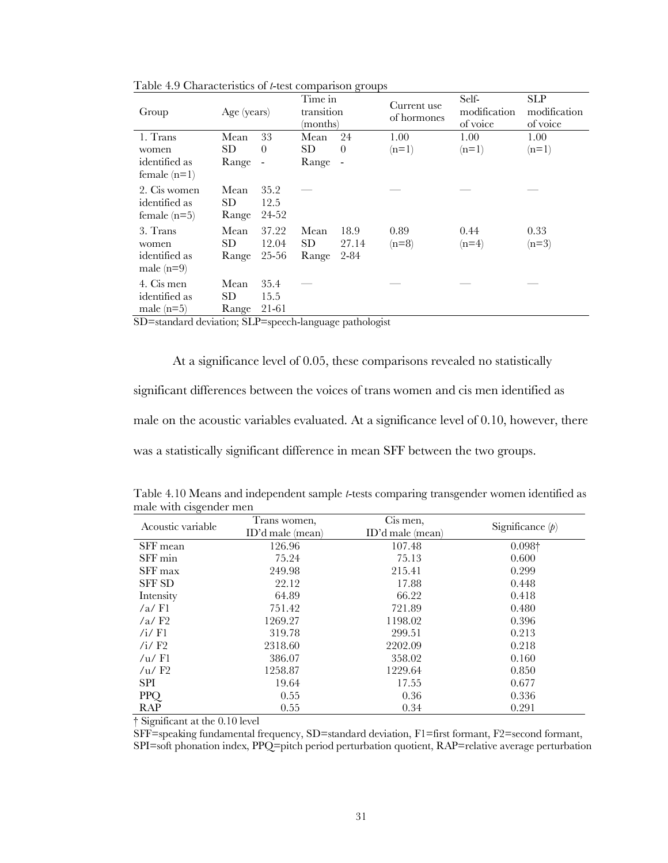| Group                                           | Age (years)                |                       | Time in<br>transition<br>(months) | $\circ$                  | Current use<br>of hormones | Self-<br>modification<br>of voice | <b>SLP</b><br>modification<br>of voice |
|-------------------------------------------------|----------------------------|-----------------------|-----------------------------------|--------------------------|----------------------------|-----------------------------------|----------------------------------------|
| 1. Trans                                        | Mean                       | 33                    | Mean                              | 24                       | 1.00                       | 1.00                              | 1.00                                   |
| women                                           | SD.                        | $\theta$              | <b>SD</b>                         | $\theta$                 | $(n=1)$                    | $(n=1)$                           | $(n=1)$                                |
| identified as<br>female $(n=1)$                 | Range                      | $\overline{a}$        | Range                             | $\overline{\phantom{a}}$ |                            |                                   |                                        |
| 2. Cis women<br>identified as<br>female $(n=5)$ | Mean<br><b>SD</b><br>Range | 35.2<br>12.5<br>24-52 |                                   |                          |                            |                                   |                                        |
| 3. Trans                                        | Mean                       | 37.22                 | Mean                              | 18.9                     | 0.89                       | 0.44                              | 0.33                                   |
| women                                           | SD.                        | 12.04                 | <b>SD</b>                         | 27.14                    | $(n=8)$                    | $(n=4)$                           | $(n=3)$                                |
| identified as<br>male $(n=9)$                   | Range                      | 25-56                 | Range                             | $2 - 84$                 |                            |                                   |                                        |
| 4. Cis men                                      | Mean                       | 35.4                  |                                   |                          |                            |                                   |                                        |
| identified as                                   | <b>SD</b>                  | 15.5                  |                                   |                          |                            |                                   |                                        |
| male $(n=5)$                                    | Range                      | 21-61                 |                                   |                          |                            |                                   |                                        |

Table 4.9 Characteristics of *t*-test comparison groups

SD=standard deviation; SLP=speech-language pathologist

At a significance level of 0.05, these comparisons revealed no statistically significant differences between the voices of trans women and cis men identified as male on the acoustic variables evaluated. At a significance level of 0.10, however, there was a statistically significant difference in mean SFF between the two groups.

| $\cdot$ $\cdot$<br>Acoustic variable | Trans women,<br>$ID'$ d male (mean) | Cis men,<br>ID'd male (mean) | Significance $(p)$ |  |
|--------------------------------------|-------------------------------------|------------------------------|--------------------|--|
| SFF mean                             | 126.96                              | 107.48                       | $0.098\dagger$     |  |
| SFF min                              | 75.24                               | 75.13                        | 0.600              |  |
| SFF max                              | 249.98                              | 215.41                       | 0.299              |  |
| <b>SFF SD</b>                        | 22.12                               | 17.88                        | 0.448              |  |
| Intensity                            | 64.89                               | 66.22                        | 0.418              |  |
| $/a$ F1                              | 751.42                              | 721.89                       | 0.480              |  |
| $/a$ F2                              | 1269.27                             | 1198.02                      | 0.396              |  |
| /i/ $F1$                             | 319.78                              | 299.51                       | 0.213              |  |
| $/i$ F <sub>2</sub>                  | 2318.60                             | 2202.09                      | 0.218              |  |
| /u/F1                                | 386.07                              | 358.02                       | 0.160              |  |
| /u/F2                                | 1258.87                             | 1229.64                      | 0.850              |  |
| <b>SPI</b>                           | 19.64                               | 17.55                        | 0.677              |  |
| <b>PPQ</b>                           | 0.55                                | 0.36                         | 0.336              |  |
| <b>RAP</b>                           | 0.55                                | 0.34                         | 0.291              |  |

Table 4.10 Means and independent sample *t*-tests comparing transgender women identified as male with cisgender men

† Significant at the 0.10 level

SFF=speaking fundamental frequency, SD=standard deviation, F1=first formant, F2=second formant,

SPI=soft phonation index, PPQ=pitch period perturbation quotient, RAP=relative average perturbation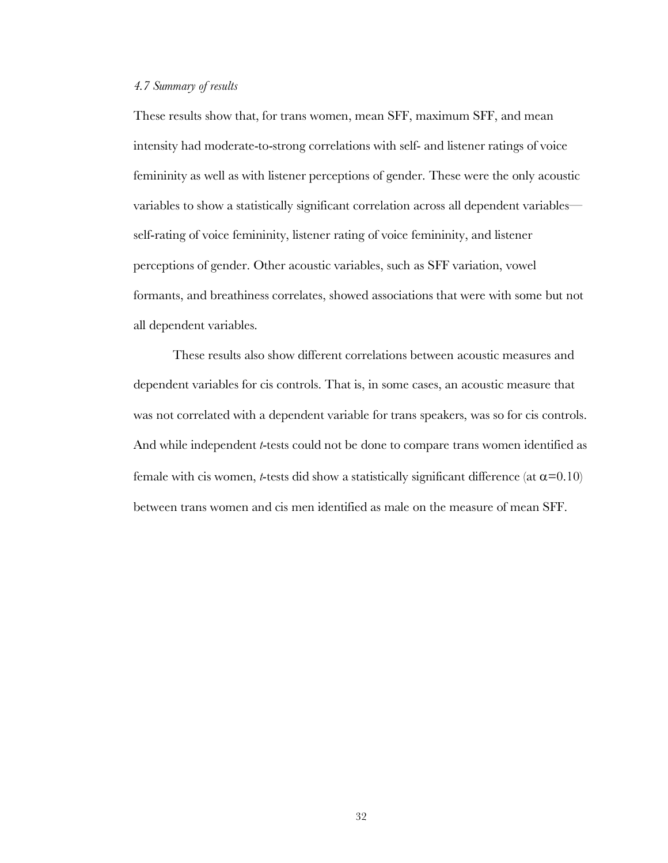#### *4.7 Summary of results*

These results show that, for trans women, mean SFF, maximum SFF, and mean intensity had moderate-to-strong correlations with self- and listener ratings of voice femininity as well as with listener perceptions of gender. These were the only acoustic variables to show a statistically significant correlation across all dependent variables self-rating of voice femininity, listener rating of voice femininity, and listener perceptions of gender. Other acoustic variables, such as SFF variation, vowel formants, and breathiness correlates, showed associations that were with some but not all dependent variables.

These results also show different correlations between acoustic measures and dependent variables for cis controls. That is, in some cases, an acoustic measure that was not correlated with a dependent variable for trans speakers, was so for cis controls. And while independent *t*-tests could not be done to compare trans women identified as female with cis women, *t*-tests did show a statistically significant difference (at  $\alpha$ =0.10) between trans women and cis men identified as male on the measure of mean SFF.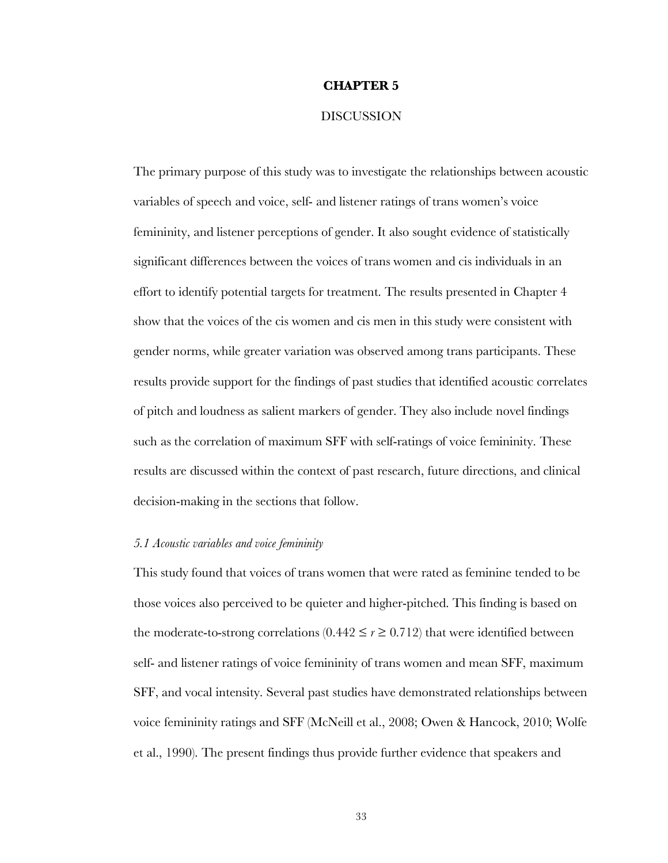#### **CHAPTER 5**

#### **DISCUSSION**

The primary purpose of this study was to investigate the relationships between acoustic variables of speech and voice, self- and listener ratings of trans women's voice femininity, and listener perceptions of gender. It also sought evidence of statistically significant differences between the voices of trans women and cis individuals in an effort to identify potential targets for treatment. The results presented in Chapter 4 show that the voices of the cis women and cis men in this study were consistent with gender norms, while greater variation was observed among trans participants. These results provide support for the findings of past studies that identified acoustic correlates of pitch and loudness as salient markers of gender. They also include novel findings such as the correlation of maximum SFF with self-ratings of voice femininity. These results are discussed within the context of past research, future directions, and clinical decision-making in the sections that follow.

#### *5.1 Acoustic variables and voice femininity*

This study found that voices of trans women that were rated as feminine tended to be those voices also perceived to be quieter and higher-pitched. This finding is based on the moderate-to-strong correlations  $(0.442 \le r \ge 0.712)$  that were identified between self- and listener ratings of voice femininity of trans women and mean SFF, maximum SFF, and vocal intensity. Several past studies have demonstrated relationships between voice femininity ratings and SFF (McNeill et al., 2008; Owen & Hancock, 2010; Wolfe et al., 1990). The present findings thus provide further evidence that speakers and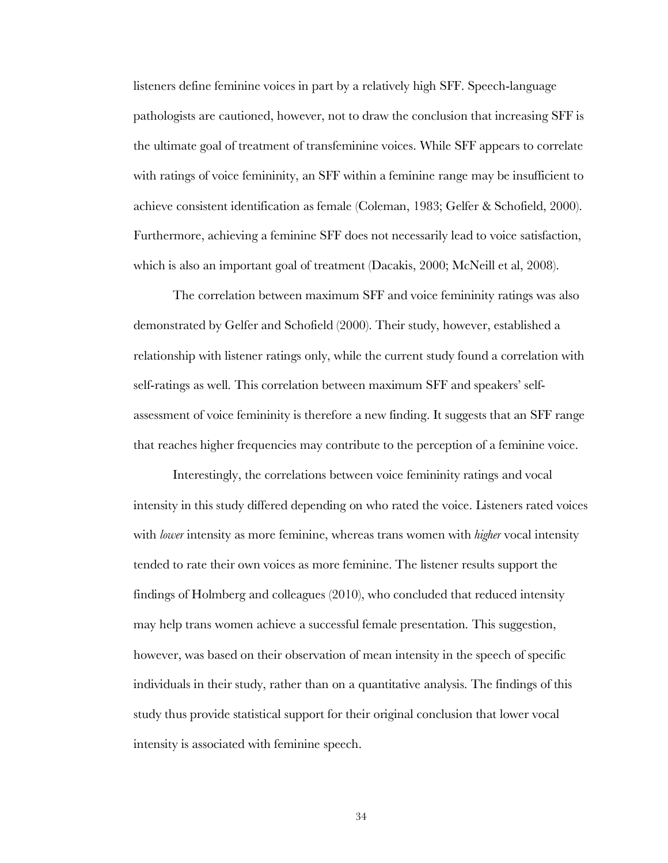listeners define feminine voices in part by a relatively high SFF. Speech-language pathologists are cautioned, however, not to draw the conclusion that increasing SFF is the ultimate goal of treatment of transfeminine voices. While SFF appears to correlate with ratings of voice femininity, an SFF within a feminine range may be insufficient to achieve consistent identification as female (Coleman, 1983; Gelfer & Schofield, 2000). Furthermore, achieving a feminine SFF does not necessarily lead to voice satisfaction, which is also an important goal of treatment (Dacakis, 2000; McNeill et al, 2008).

The correlation between maximum SFF and voice femininity ratings was also demonstrated by Gelfer and Schofield (2000). Their study, however, established a relationship with listener ratings only, while the current study found a correlation with self-ratings as well. This correlation between maximum SFF and speakers' selfassessment of voice femininity is therefore a new finding. It suggests that an SFF range that reaches higher frequencies may contribute to the perception of a feminine voice.

Interestingly, the correlations between voice femininity ratings and vocal intensity in this study differed depending on who rated the voice. Listeners rated voices with *lower* intensity as more feminine, whereas trans women with *higher* vocal intensity tended to rate their own voices as more feminine. The listener results support the findings of Holmberg and colleagues (2010), who concluded that reduced intensity may help trans women achieve a successful female presentation. This suggestion, however, was based on their observation of mean intensity in the speech of specific individuals in their study, rather than on a quantitative analysis. The findings of this study thus provide statistical support for their original conclusion that lower vocal intensity is associated with feminine speech.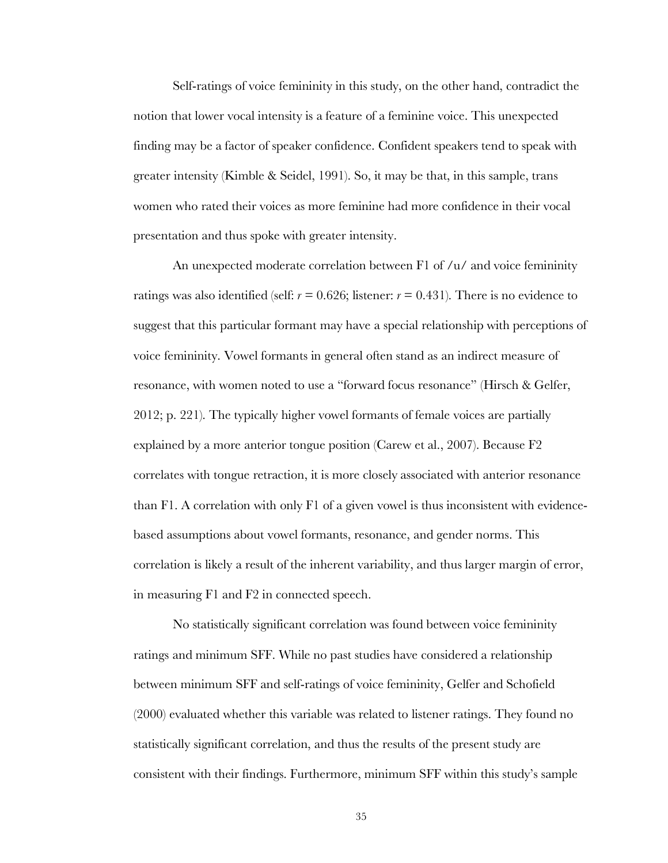Self-ratings of voice femininity in this study, on the other hand, contradict the notion that lower vocal intensity is a feature of a feminine voice. This unexpected finding may be a factor of speaker confidence. Confident speakers tend to speak with greater intensity (Kimble & Seidel, 1991). So, it may be that, in this sample, trans women who rated their voices as more feminine had more confidence in their vocal presentation and thus spoke with greater intensity.

An unexpected moderate correlation between F1 of /u/ and voice femininity ratings was also identified (self:  $r = 0.626$ ; listener:  $r = 0.431$ ). There is no evidence to suggest that this particular formant may have a special relationship with perceptions of voice femininity. Vowel formants in general often stand as an indirect measure of resonance, with women noted to use a "forward focus resonance" (Hirsch & Gelfer, 2012; p. 221). The typically higher vowel formants of female voices are partially explained by a more anterior tongue position (Carew et al., 2007). Because F2 correlates with tongue retraction, it is more closely associated with anterior resonance than F1. A correlation with only F1 of a given vowel is thus inconsistent with evidencebased assumptions about vowel formants, resonance, and gender norms. This correlation is likely a result of the inherent variability, and thus larger margin of error, in measuring F1 and F2 in connected speech.

No statistically significant correlation was found between voice femininity ratings and minimum SFF. While no past studies have considered a relationship between minimum SFF and self-ratings of voice femininity, Gelfer and Schofield (2000) evaluated whether this variable was related to listener ratings. They found no statistically significant correlation, and thus the results of the present study are consistent with their findings. Furthermore, minimum SFF within this study's sample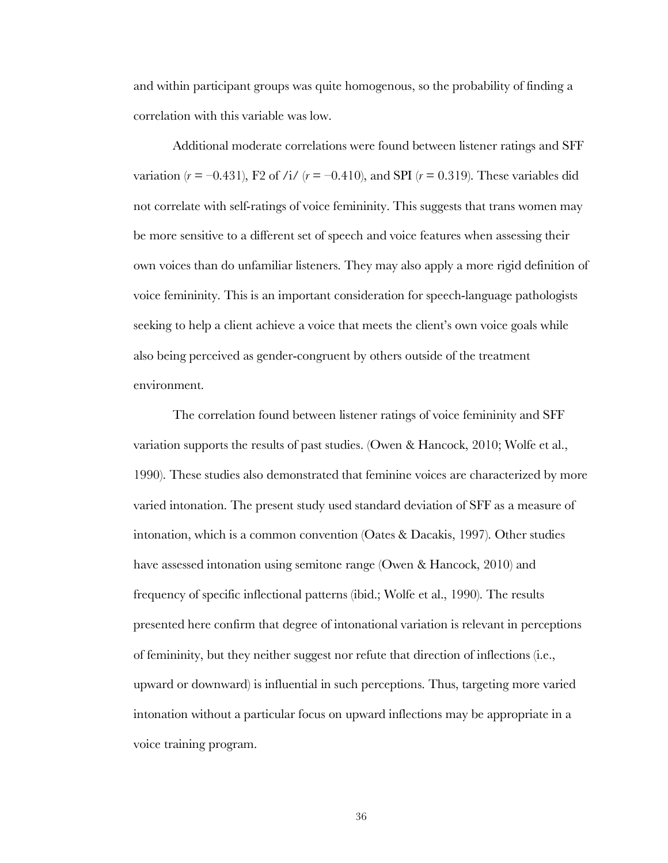and within participant groups was quite homogenous, so the probability of finding a correlation with this variable was low.

Additional moderate correlations were found between listener ratings and SFF variation  $(r = -0.431)$ , F2 of /i/  $(r = -0.410)$ , and SPI  $(r = 0.319)$ . These variables did not correlate with self-ratings of voice femininity. This suggests that trans women may be more sensitive to a different set of speech and voice features when assessing their own voices than do unfamiliar listeners. They may also apply a more rigid definition of voice femininity. This is an important consideration for speech-language pathologists seeking to help a client achieve a voice that meets the client's own voice goals while also being perceived as gender-congruent by others outside of the treatment environment.

The correlation found between listener ratings of voice femininity and SFF variation supports the results of past studies. (Owen & Hancock, 2010; Wolfe et al., 1990). These studies also demonstrated that feminine voices are characterized by more varied intonation. The present study used standard deviation of SFF as a measure of intonation, which is a common convention (Oates & Dacakis, 1997). Other studies have assessed intonation using semitone range (Owen & Hancock, 2010) and frequency of specific inflectional patterns (ibid.; Wolfe et al., 1990). The results presented here confirm that degree of intonational variation is relevant in perceptions of femininity, but they neither suggest nor refute that direction of inflections (i.e., upward or downward) is influential in such perceptions. Thus, targeting more varied intonation without a particular focus on upward inflections may be appropriate in a voice training program.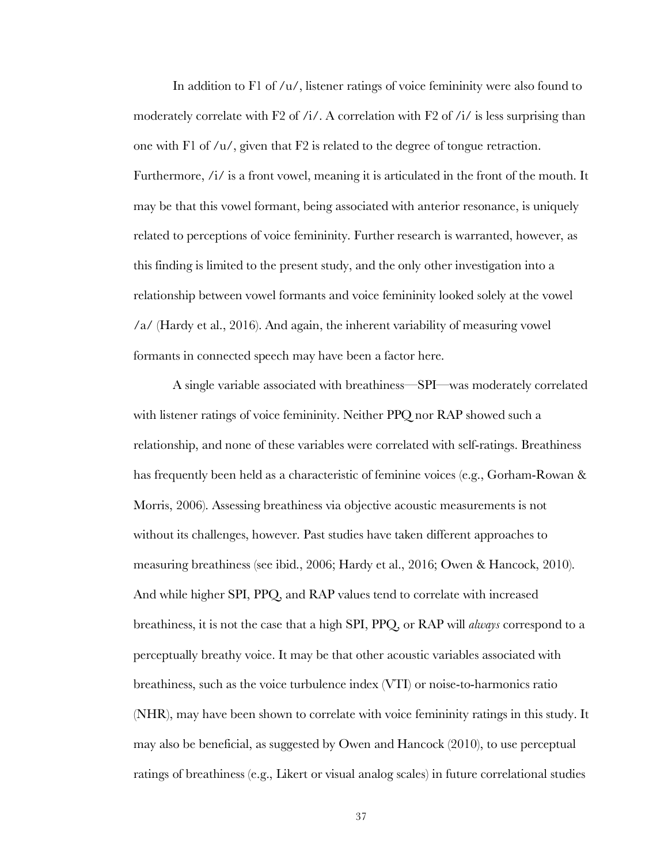In addition to  $F1$  of  $/u/$ , listener ratings of voice femininity were also found to moderately correlate with F2 of /i/. A correlation with F2 of /i/ is less surprising than one with F1 of /u/, given that F2 is related to the degree of tongue retraction. Furthermore,  $\frac{1}{i}$  is a front vowel, meaning it is articulated in the front of the mouth. It may be that this vowel formant, being associated with anterior resonance, is uniquely related to perceptions of voice femininity. Further research is warranted, however, as this finding is limited to the present study, and the only other investigation into a relationship between vowel formants and voice femininity looked solely at the vowel /a/ (Hardy et al., 2016). And again, the inherent variability of measuring vowel formants in connected speech may have been a factor here.

A single variable associated with breathiness—SPI—was moderately correlated with listener ratings of voice femininity. Neither PPQ nor RAP showed such a relationship, and none of these variables were correlated with self-ratings. Breathiness has frequently been held as a characteristic of feminine voices (e.g., Gorham-Rowan & Morris, 2006). Assessing breathiness via objective acoustic measurements is not without its challenges, however. Past studies have taken different approaches to measuring breathiness (see ibid., 2006; Hardy et al., 2016; Owen & Hancock, 2010). And while higher SPI, PPQ, and RAP values tend to correlate with increased breathiness, it is not the case that a high SPI, PPQ, or RAP will *always* correspond to a perceptually breathy voice. It may be that other acoustic variables associated with breathiness, such as the voice turbulence index (VTI) or noise-to-harmonics ratio (NHR), may have been shown to correlate with voice femininity ratings in this study. It may also be beneficial, as suggested by Owen and Hancock (2010), to use perceptual ratings of breathiness (e.g., Likert or visual analog scales) in future correlational studies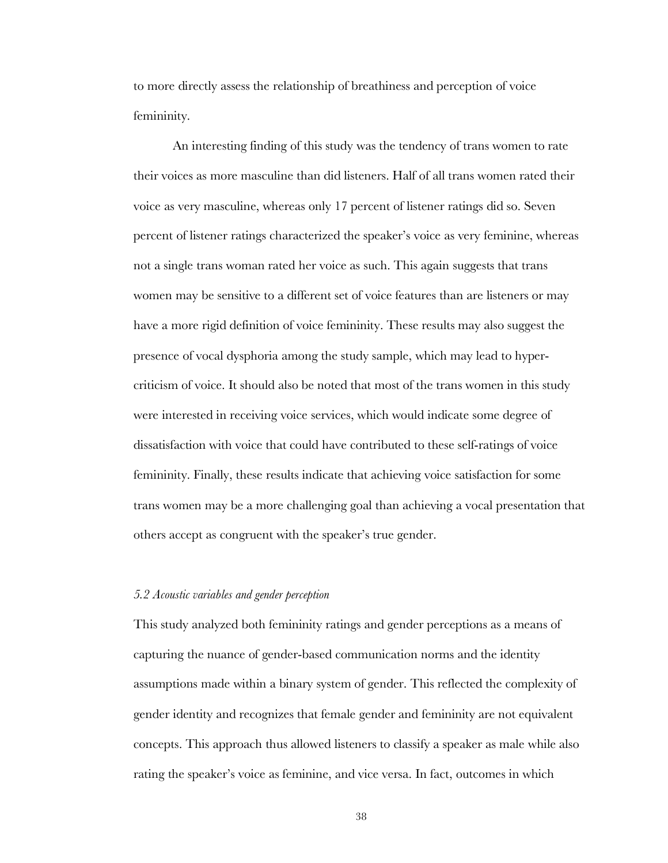to more directly assess the relationship of breathiness and perception of voice femininity.

An interesting finding of this study was the tendency of trans women to rate their voices as more masculine than did listeners. Half of all trans women rated their voice as very masculine, whereas only 17 percent of listener ratings did so. Seven percent of listener ratings characterized the speaker's voice as very feminine, whereas not a single trans woman rated her voice as such. This again suggests that trans women may be sensitive to a different set of voice features than are listeners or may have a more rigid definition of voice femininity. These results may also suggest the presence of vocal dysphoria among the study sample, which may lead to hypercriticism of voice. It should also be noted that most of the trans women in this study were interested in receiving voice services, which would indicate some degree of dissatisfaction with voice that could have contributed to these self-ratings of voice femininity. Finally, these results indicate that achieving voice satisfaction for some trans women may be a more challenging goal than achieving a vocal presentation that others accept as congruent with the speaker's true gender.

#### *5.2 Acoustic variables and gender perception*

This study analyzed both femininity ratings and gender perceptions as a means of capturing the nuance of gender-based communication norms and the identity assumptions made within a binary system of gender. This reflected the complexity of gender identity and recognizes that female gender and femininity are not equivalent concepts. This approach thus allowed listeners to classify a speaker as male while also rating the speaker's voice as feminine, and vice versa. In fact, outcomes in which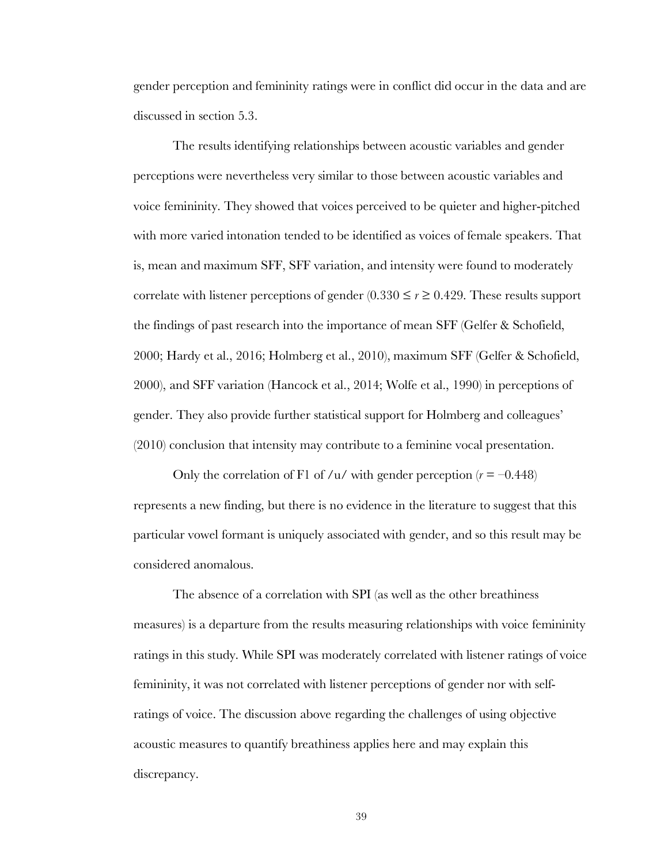gender perception and femininity ratings were in conflict did occur in the data and are discussed in section 5.3.

The results identifying relationships between acoustic variables and gender perceptions were nevertheless very similar to those between acoustic variables and voice femininity. They showed that voices perceived to be quieter and higher-pitched with more varied intonation tended to be identified as voices of female speakers. That is, mean and maximum SFF, SFF variation, and intensity were found to moderately correlate with listener perceptions of gender  $(0.330 \le r \ge 0.429$ . These results support the findings of past research into the importance of mean SFF (Gelfer & Schofield, 2000; Hardy et al., 2016; Holmberg et al., 2010), maximum SFF (Gelfer & Schofield, 2000), and SFF variation (Hancock et al., 2014; Wolfe et al., 1990) in perceptions of gender. They also provide further statistical support for Holmberg and colleagues' (2010) conclusion that intensity may contribute to a feminine vocal presentation.

Only the correlation of F1 of /u/ with gender perception  $(r = -0.448)$ represents a new finding, but there is no evidence in the literature to suggest that this particular vowel formant is uniquely associated with gender, and so this result may be considered anomalous.

The absence of a correlation with SPI (as well as the other breathiness measures) is a departure from the results measuring relationships with voice femininity ratings in this study. While SPI was moderately correlated with listener ratings of voice femininity, it was not correlated with listener perceptions of gender nor with selfratings of voice. The discussion above regarding the challenges of using objective acoustic measures to quantify breathiness applies here and may explain this discrepancy.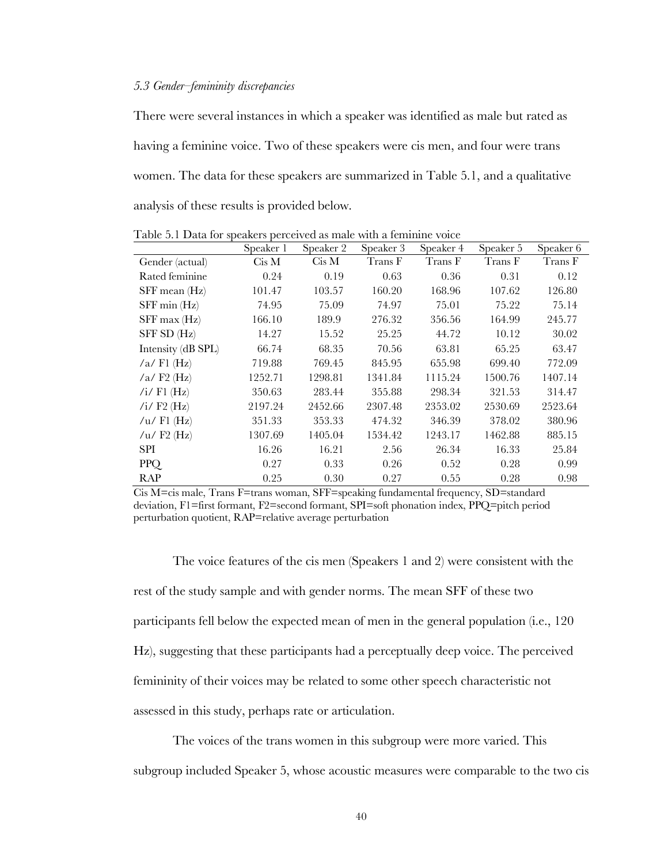#### *5.3 Gender–femininity discrepancies*

There were several instances in which a speaker was identified as male but rated as having a feminine voice. Two of these speakers were cis men, and four were trans women. The data for these speakers are summarized in Table 5.1, and a qualitative analysis of these results is provided below.

|                    | Speaker 1 | Speaker 2 | Speaker 3 | Speaker 4 | Speaker 5 | Speaker 6 |
|--------------------|-----------|-----------|-----------|-----------|-----------|-----------|
| Gender (actual)    | Cis M     | Cis M     | Trans F   | Trans F   | Trans F   | Trans F   |
| Rated feminine     | 0.24      | 0.19      | 0.63      | 0.36      | 0.31      | 0.12      |
| SFF mean (Hz)      | 101.47    | 103.57    | 160.20    | 168.96    | 107.62    | 126.80    |
| $SFF$ min $(Hz)$   | 74.95     | 75.09     | 74.97     | 75.01     | 75.22     | 75.14     |
| $SFF$ max $(Hz)$   | 166.10    | 189.9     | 276.32    | 356.56    | 164.99    | 245.77    |
| SFF SD (Hz)        | 14.27     | 15.52     | 25.25     | 44.72     | 10.12     | 30.02     |
| Intensity (dB SPL) | 66.74     | 68.35     | 70.56     | 63.81     | 65.25     | 63.47     |
| $/a$ Fl $(Hz)$     | 719.88    | 769.45    | 845.95    | 655.98    | 699.40    | 772.09    |
| $/a$ F2 (Hz)       | 1252.71   | 1298.81   | 1341.84   | 1115.24   | 1500.76   | 1407.14   |
| /i/ $F1$ (Hz)      | 350.63    | 283.44    | 355.88    | 298.34    | 321.53    | 314.47    |
| /i/ $F2$ (Hz)      | 2197.24   | 2452.66   | 2307.48   | 2353.02   | 2530.69   | 2523.64   |
| /u/ Fl $(Hz)$      | 351.33    | 353.33    | 474.32    | 346.39    | 378.02    | 380.96    |
| / $u$ / F2 (Hz)    | 1307.69   | 1405.04   | 1534.42   | 1243.17   | 1462.88   | 885.15    |
| SPI                | 16.26     | 16.21     | 2.56      | 26.34     | 16.33     | 25.84     |
| PPQ                | 0.27      | 0.33      | 0.26      | 0.52      | 0.28      | 0.99      |
| RAP                | 0.25      | 0.30      | 0.27      | 0.55      | 0.28      | 0.98      |

Table 5.1 Data for speakers perceived as male with a feminine voice

The voice features of the cis men (Speakers 1 and 2) were consistent with the rest of the study sample and with gender norms. The mean SFF of these two participants fell below the expected mean of men in the general population (i.e., 120 Hz), suggesting that these participants had a perceptually deep voice. The perceived femininity of their voices may be related to some other speech characteristic not assessed in this study, perhaps rate or articulation.

The voices of the trans women in this subgroup were more varied. This subgroup included Speaker 5, whose acoustic measures were comparable to the two cis

Cis M=cis male, Trans F=trans woman, SFF=speaking fundamental frequency, SD=standard deviation, F1=first formant, F2=second formant, SPI=soft phonation index, PPQ=pitch period perturbation quotient, RAP=relative average perturbation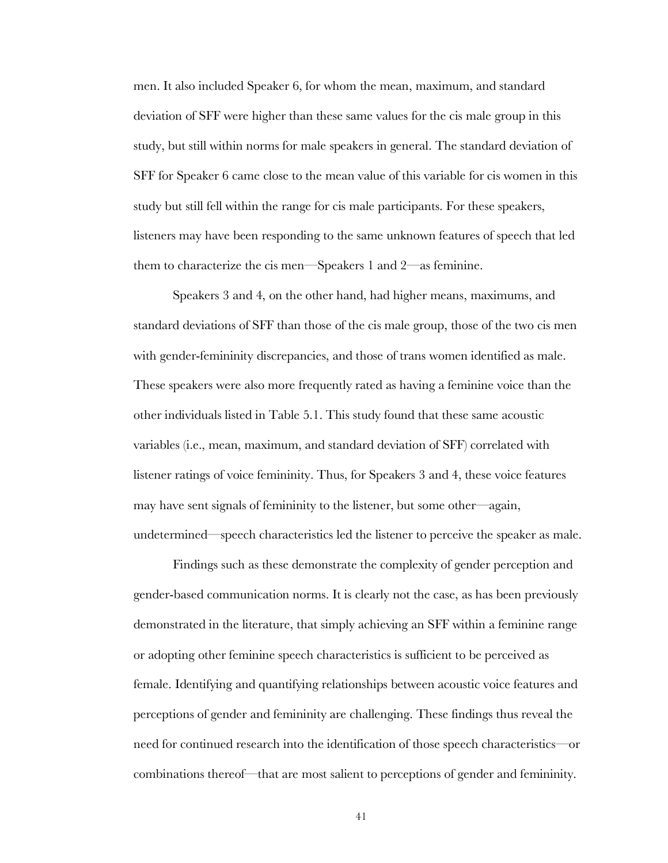men. It also included Speaker 6, for whom the mean, maximum, and standard deviation of SFF were higher than these same values for the cis male group in this study, but still within norms for male speakers in general. The standard deviation of SFF for Speaker 6 came close to the mean value of this variable for cis women in this study but still fell within the range for cis male participants. For these speakers, listeners may have been responding to the same unknown features of speech that led them to characterize the cis men—Speakers 1 and 2—as feminine.

Speakers 3 and 4, on the other hand, had higher means, maximums, and standard deviations of SFF than those of the cis male group, those of the two cis men with gender-femininity discrepancies, and those of trans women identified as male. These speakers were also more frequently rated as having a feminine voice than the other individuals listed in Table 5.1. This study found that these same acoustic variables (i.e., mean, maximum, and standard deviation of SFF) correlated with listener ratings of voice femininity. Thus, for Speakers 3 and 4, these voice features may have sent signals of femininity to the listener, but some other—again, undetermined—speech characteristics led the listener to perceive the speaker as male.

Findings such as these demonstrate the complexity of gender perception and gender-based communication norms. It is clearly not the case, as has been previously demonstrated in the literature, that simply achieving an SFF within a feminine range or adopting other feminine speech characteristics is sufficient to be perceived as female. Identifying and quantifying relationships between acoustic voice features and perceptions of gender and femininity are challenging. These findings thus reveal the need for continued research into the identification of those speech characteristics—or combinations thereof—that are most salient to perceptions of gender and femininity.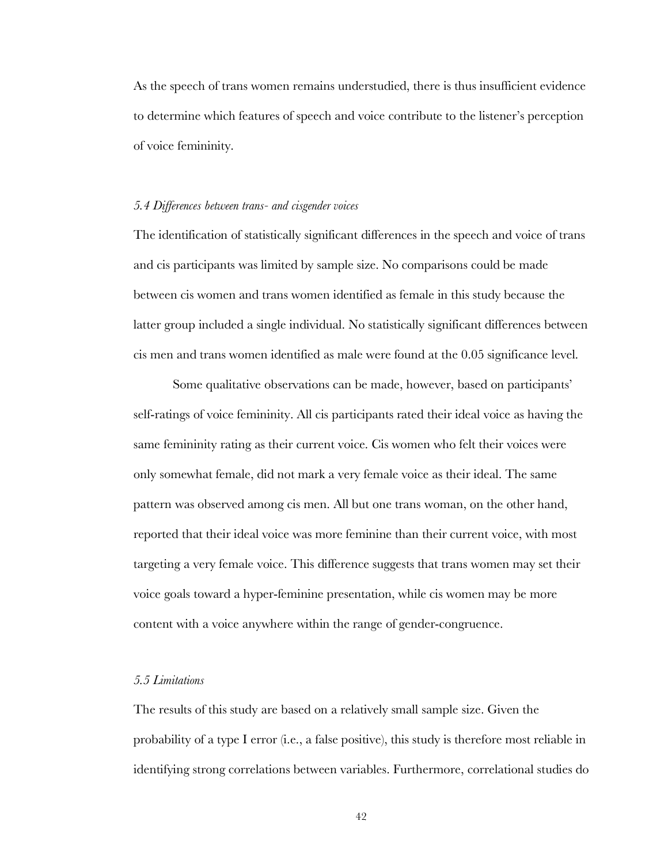As the speech of trans women remains understudied, there is thus insufficient evidence to determine which features of speech and voice contribute to the listener's perception of voice femininity.

#### *5.4 Differences between trans- and cisgender voices*

The identification of statistically significant differences in the speech and voice of trans and cis participants was limited by sample size. No comparisons could be made between cis women and trans women identified as female in this study because the latter group included a single individual. No statistically significant differences between cis men and trans women identified as male were found at the 0.05 significance level.

Some qualitative observations can be made, however, based on participants' self-ratings of voice femininity. All cis participants rated their ideal voice as having the same femininity rating as their current voice. Cis women who felt their voices were only somewhat female, did not mark a very female voice as their ideal. The same pattern was observed among cis men. All but one trans woman, on the other hand, reported that their ideal voice was more feminine than their current voice, with most targeting a very female voice. This difference suggests that trans women may set their voice goals toward a hyper-feminine presentation, while cis women may be more content with a voice anywhere within the range of gender-congruence.

#### *5.5 Limitations*

The results of this study are based on a relatively small sample size. Given the probability of a type I error (i.e., a false positive), this study is therefore most reliable in identifying strong correlations between variables. Furthermore, correlational studies do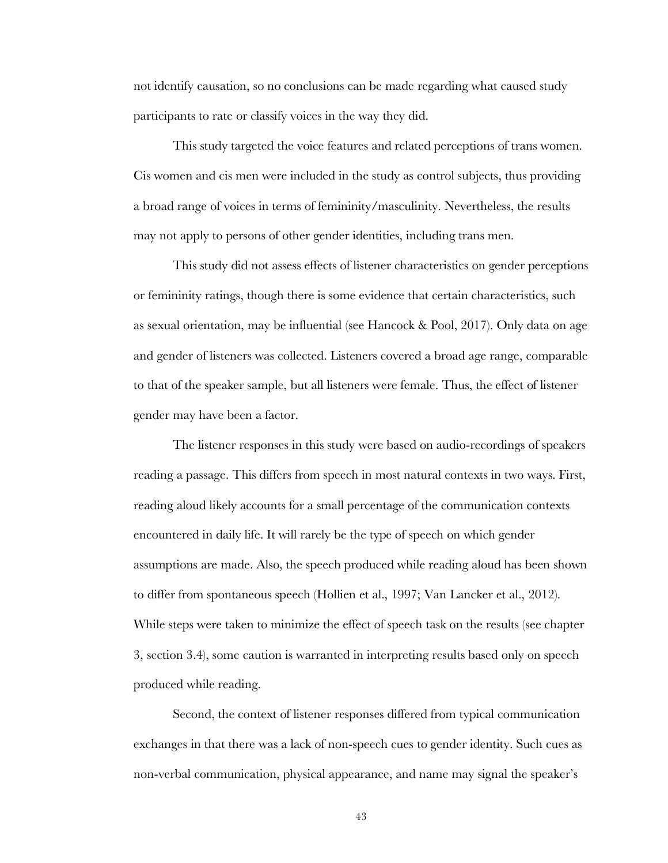not identify causation, so no conclusions can be made regarding what caused study participants to rate or classify voices in the way they did.

This study targeted the voice features and related perceptions of trans women. Cis women and cis men were included in the study as control subjects, thus providing a broad range of voices in terms of femininity/masculinity. Nevertheless, the results may not apply to persons of other gender identities, including trans men.

This study did not assess effects of listener characteristics on gender perceptions or femininity ratings, though there is some evidence that certain characteristics, such as sexual orientation, may be influential (see Hancock & Pool, 2017). Only data on age and gender of listeners was collected. Listeners covered a broad age range, comparable to that of the speaker sample, but all listeners were female. Thus, the effect of listener gender may have been a factor.

The listener responses in this study were based on audio-recordings of speakers reading a passage. This differs from speech in most natural contexts in two ways. First, reading aloud likely accounts for a small percentage of the communication contexts encountered in daily life. It will rarely be the type of speech on which gender assumptions are made. Also, the speech produced while reading aloud has been shown to differ from spontaneous speech (Hollien et al., 1997; Van Lancker et al., 2012). While steps were taken to minimize the effect of speech task on the results (see chapter 3, section 3.4), some caution is warranted in interpreting results based only on speech produced while reading.

Second, the context of listener responses differed from typical communication exchanges in that there was a lack of non-speech cues to gender identity. Such cues as non-verbal communication, physical appearance, and name may signal the speaker's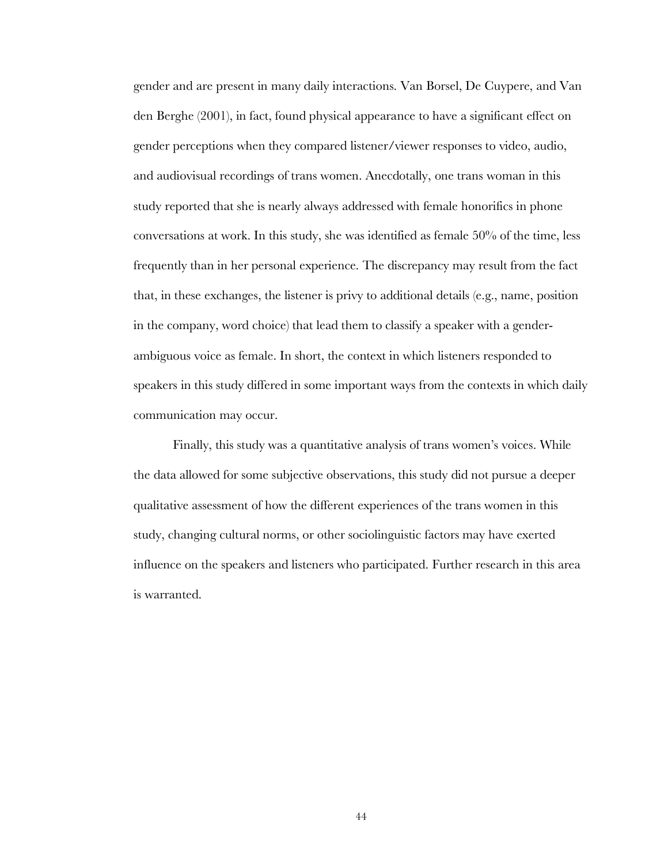gender and are present in many daily interactions. Van Borsel, De Cuypere, and Van den Berghe (2001), in fact, found physical appearance to have a significant effect on gender perceptions when they compared listener/viewer responses to video, audio, and audiovisual recordings of trans women. Anecdotally, one trans woman in this study reported that she is nearly always addressed with female honorifics in phone conversations at work. In this study, she was identified as female 50% of the time, less frequently than in her personal experience. The discrepancy may result from the fact that, in these exchanges, the listener is privy to additional details (e.g., name, position in the company, word choice) that lead them to classify a speaker with a genderambiguous voice as female. In short, the context in which listeners responded to speakers in this study differed in some important ways from the contexts in which daily communication may occur.

Finally, this study was a quantitative analysis of trans women's voices. While the data allowed for some subjective observations, this study did not pursue a deeper qualitative assessment of how the different experiences of the trans women in this study, changing cultural norms, or other sociolinguistic factors may have exerted influence on the speakers and listeners who participated. Further research in this area is warranted.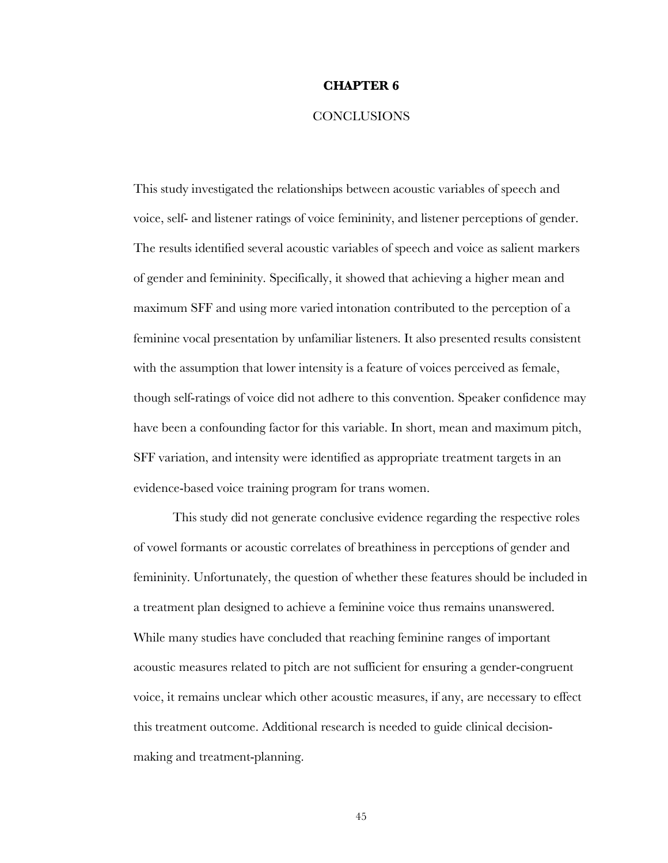#### **CHAPTER 6**

### **CONCLUSIONS**

This study investigated the relationships between acoustic variables of speech and voice, self- and listener ratings of voice femininity, and listener perceptions of gender. The results identified several acoustic variables of speech and voice as salient markers of gender and femininity. Specifically, it showed that achieving a higher mean and maximum SFF and using more varied intonation contributed to the perception of a feminine vocal presentation by unfamiliar listeners. It also presented results consistent with the assumption that lower intensity is a feature of voices perceived as female, though self-ratings of voice did not adhere to this convention. Speaker confidence may have been a confounding factor for this variable. In short, mean and maximum pitch, SFF variation, and intensity were identified as appropriate treatment targets in an evidence-based voice training program for trans women.

This study did not generate conclusive evidence regarding the respective roles of vowel formants or acoustic correlates of breathiness in perceptions of gender and femininity. Unfortunately, the question of whether these features should be included in a treatment plan designed to achieve a feminine voice thus remains unanswered. While many studies have concluded that reaching feminine ranges of important acoustic measures related to pitch are not sufficient for ensuring a gender-congruent voice, it remains unclear which other acoustic measures, if any, are necessary to effect this treatment outcome. Additional research is needed to guide clinical decisionmaking and treatment-planning.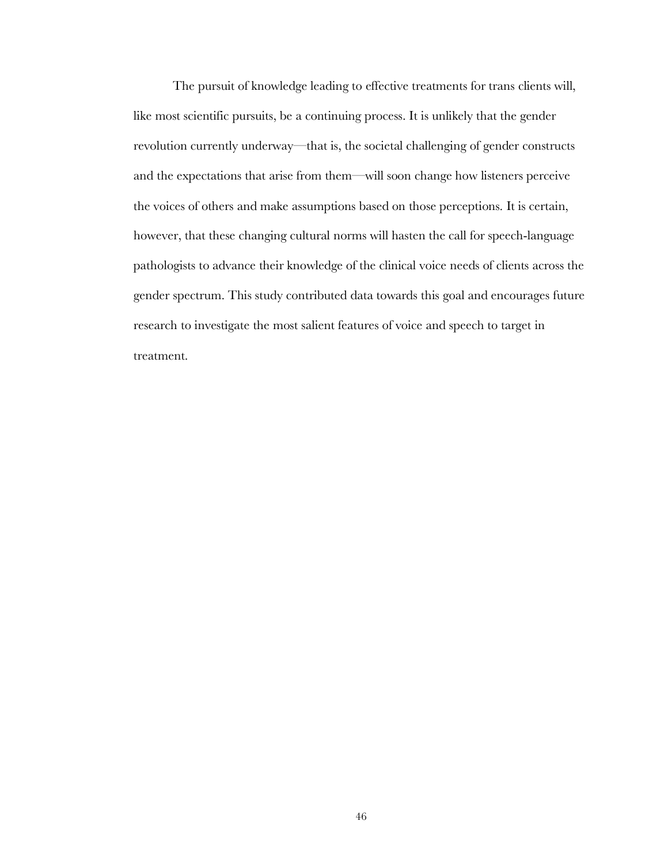The pursuit of knowledge leading to effective treatments for trans clients will, like most scientific pursuits, be a continuing process. It is unlikely that the gender revolution currently underway—that is, the societal challenging of gender constructs and the expectations that arise from them—will soon change how listeners perceive the voices of others and make assumptions based on those perceptions. It is certain, however, that these changing cultural norms will hasten the call for speech-language pathologists to advance their knowledge of the clinical voice needs of clients across the gender spectrum. This study contributed data towards this goal and encourages future research to investigate the most salient features of voice and speech to target in treatment.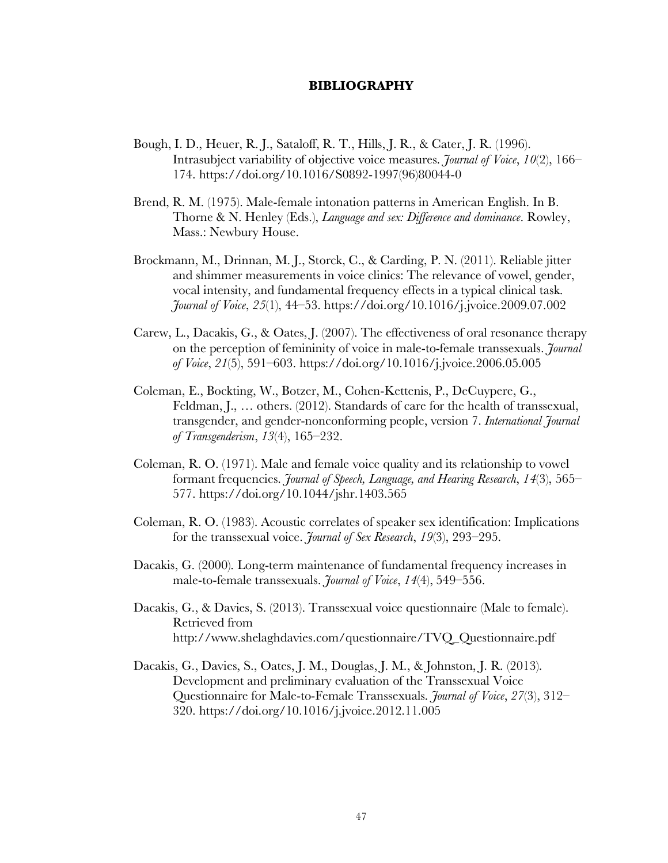#### **BIBLIOGRAPHY**

- Bough, I. D., Heuer, R. J., Sataloff, R. T., Hills, J. R., & Cater, J. R. (1996). Intrasubject variability of objective voice measures. *Journal of Voice*, *10*(2), 166– 174. https://doi.org/10.1016/S0892-1997(96)80044-0
- Brend, R. M. (1975). Male-female intonation patterns in American English. In B. Thorne & N. Henley (Eds.), *Language and sex: Difference and dominance*. Rowley, Mass.: Newbury House.
- Brockmann, M., Drinnan, M. J., Storck, C., & Carding, P. N. (2011). Reliable jitter and shimmer measurements in voice clinics: The relevance of vowel, gender, vocal intensity, and fundamental frequency effects in a typical clinical task. *Journal of Voice*, *25*(1), 44–53. https://doi.org/10.1016/j.jvoice.2009.07.002
- Carew, L., Dacakis, G., & Oates, J. (2007). The effectiveness of oral resonance therapy on the perception of femininity of voice in male-to-female transsexuals. *Journal of Voice*, *21*(5), 591–603. https://doi.org/10.1016/j.jvoice.2006.05.005
- Coleman, E., Bockting, W., Botzer, M., Cohen-Kettenis, P., DeCuypere, G., Feldman, J., ... others. (2012). Standards of care for the health of transsexual, transgender, and gender-nonconforming people, version 7. *International Journal of Transgenderism*, *13*(4), 165–232.
- Coleman, R. O. (1971). Male and female voice quality and its relationship to vowel formant frequencies. *Journal of Speech, Language, and Hearing Research*, *14*(3), 565– 577. https://doi.org/10.1044/jshr.1403.565
- Coleman, R. O. (1983). Acoustic correlates of speaker sex identification: Implications for the transsexual voice. *Journal of Sex Research*, *19*(3), 293–295.
- Dacakis, G. (2000). Long-term maintenance of fundamental frequency increases in male-to-female transsexuals. *Journal of Voice*, *14*(4), 549–556.
- Dacakis, G., & Davies, S. (2013). Transsexual voice questionnaire (Male to female). Retrieved from http://www.shelaghdavies.com/questionnaire/TVQ\_Questionnaire.pdf
- Dacakis, G., Davies, S., Oates, J. M., Douglas, J. M., & Johnston, J. R. (2013). Development and preliminary evaluation of the Transsexual Voice Questionnaire for Male-to-Female Transsexuals. *Journal of Voice*, *27*(3), 312– 320. https://doi.org/10.1016/j.jvoice.2012.11.005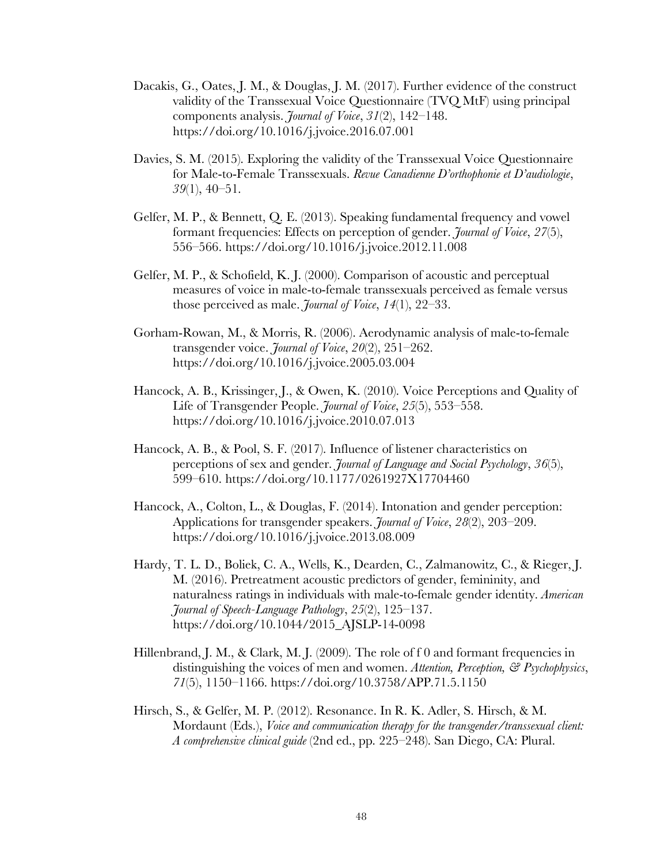- Dacakis, G., Oates, J. M., & Douglas, J. M. (2017). Further evidence of the construct validity of the Transsexual Voice Questionnaire (TVQ MtF) using principal components analysis. *Journal of Voice*, *31*(2), 142–148. https://doi.org/10.1016/j.jvoice.2016.07.001
- Davies, S. M. (2015). Exploring the validity of the Transsexual Voice Questionnaire for Male-to-Female Transsexuals. *Revue Canadienne D'orthophonie et D'audiologie*, *39*(1), 40–51.
- Gelfer, M. P., & Bennett, Q. E. (2013). Speaking fundamental frequency and vowel formant frequencies: Effects on perception of gender. *Journal of Voice*, *27*(5), 556–566. https://doi.org/10.1016/j.jvoice.2012.11.008
- Gelfer, M. P., & Schofield, K. J. (2000). Comparison of acoustic and perceptual measures of voice in male-to-female transsexuals perceived as female versus those perceived as male. *Journal of Voice*, *14*(1), 22–33.
- Gorham-Rowan, M., & Morris, R. (2006). Aerodynamic analysis of male-to-female transgender voice. *Journal of Voice*, *20*(2), 251–262. https://doi.org/10.1016/j.jvoice.2005.03.004
- Hancock, A. B., Krissinger, J., & Owen, K. (2010). Voice Perceptions and Quality of Life of Transgender People. *Journal of Voice*, *25*(5), 553–558. https://doi.org/10.1016/j.jvoice.2010.07.013
- Hancock, A. B., & Pool, S. F. (2017). Influence of listener characteristics on perceptions of sex and gender. *Journal of Language and Social Psychology*, *36*(5), 599–610. https://doi.org/10.1177/0261927X17704460
- Hancock, A., Colton, L., & Douglas, F. (2014). Intonation and gender perception: Applications for transgender speakers. *Journal of Voice*, *28*(2), 203–209. https://doi.org/10.1016/j.jvoice.2013.08.009
- Hardy, T. L. D., Boliek, C. A., Wells, K., Dearden, C., Zalmanowitz, C., & Rieger, J. M. (2016). Pretreatment acoustic predictors of gender, femininity, and naturalness ratings in individuals with male-to-female gender identity. *American Journal of Speech-Language Pathology*, *25*(2), 125–137. https://doi.org/10.1044/2015\_AJSLP-14-0098
- Hillenbrand, J. M., & Clark, M. J. (2009). The role of f 0 and formant frequencies in distinguishing the voices of men and women. *Attention, Perception, & Psychophysics*, *71*(5), 1150–1166. https://doi.org/10.3758/APP.71.5.1150
- Hirsch, S., & Gelfer, M. P. (2012). Resonance. In R. K. Adler, S. Hirsch, & M. Mordaunt (Eds.), *Voice and communication therapy for the transgender/transsexual client: A comprehensive clinical guide* (2nd ed., pp. 225–248). San Diego, CA: Plural.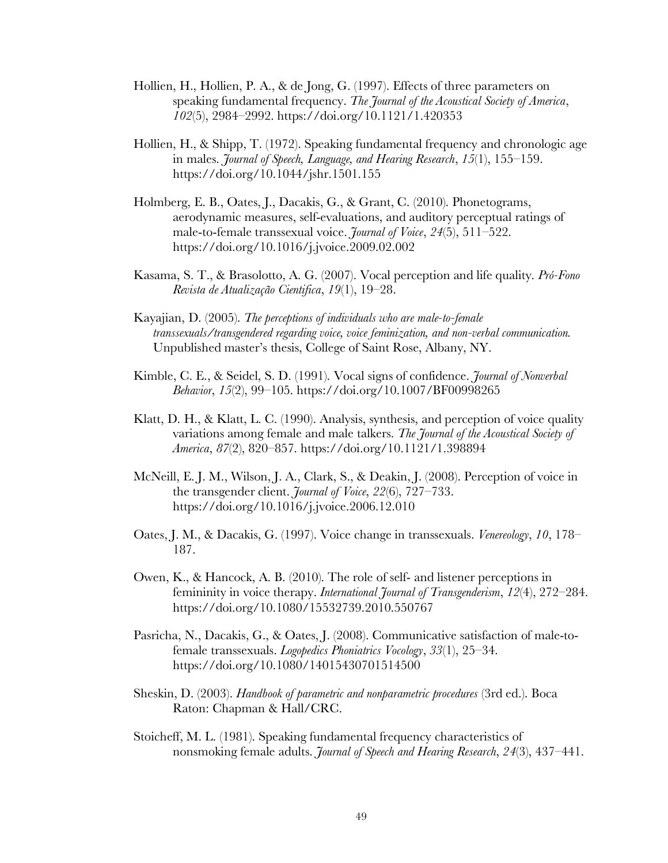- Hollien, H., Hollien, P. A., & de Jong, G. (1997). Effects of three parameters on speaking fundamental frequency. *The Journal of the Acoustical Society of America*, *102*(5), 2984–2992. https://doi.org/10.1121/1.420353
- Hollien, H., & Shipp, T. (1972). Speaking fundamental frequency and chronologic age in males. *Journal of Speech, Language, and Hearing Research*, *15*(1), 155–159. https://doi.org/10.1044/jshr.1501.155
- Holmberg, E. B., Oates, J., Dacakis, G., & Grant, C. (2010). Phonetograms, aerodynamic measures, self-evaluations, and auditory perceptual ratings of male-to-female transsexual voice. *Journal of Voice*, *24*(5), 511–522. https://doi.org/10.1016/j.jvoice.2009.02.002
- Kasama, S. T., & Brasolotto, A. G. (2007). Vocal perception and life quality. *Pró-Fono Revista de Atualização Cientifica*, *19*(1), 19–28.
- Kayajian, D. (2005). *The perceptions of individuals who are male-to-female transsexuals/transgendered regarding voice, voice feminization, and non-verbal communication.* Unpublished master's thesis, College of Saint Rose, Albany, NY.
- Kimble, C. E., & Seidel, S. D. (1991). Vocal signs of confidence. *Journal of Nonverbal Behavior*, *15*(2), 99–105. https://doi.org/10.1007/BF00998265
- Klatt, D. H., & Klatt, L. C. (1990). Analysis, synthesis, and perception of voice quality variations among female and male talkers. *The Journal of the Acoustical Society of America*, *87*(2), 820–857. https://doi.org/10.1121/1.398894
- McNeill, E. J. M., Wilson, J. A., Clark, S., & Deakin, J. (2008). Perception of voice in the transgender client. *Journal of Voice*, *22*(6), 727–733. https://doi.org/10.1016/j.jvoice.2006.12.010
- Oates, J. M., & Dacakis, G. (1997). Voice change in transsexuals. *Venereology*, *10*, 178– 187.
- Owen, K., & Hancock, A. B. (2010). The role of self- and listener perceptions in femininity in voice therapy. *International Journal of Transgenderism*, *12*(4), 272–284. https://doi.org/10.1080/15532739.2010.550767
- Pasricha, N., Dacakis, G., & Oates, J. (2008). Communicative satisfaction of male-tofemale transsexuals. *Logopedics Phoniatrics Vocology*, *33*(1), 25–34. https://doi.org/10.1080/14015430701514500
- Sheskin, D. (2003). *Handbook of parametric and nonparametric procedures* (3rd ed.). Boca Raton: Chapman & Hall/CRC.
- Stoicheff, M. L. (1981). Speaking fundamental frequency characteristics of nonsmoking female adults. *Journal of Speech and Hearing Research*, *24*(3), 437–441.